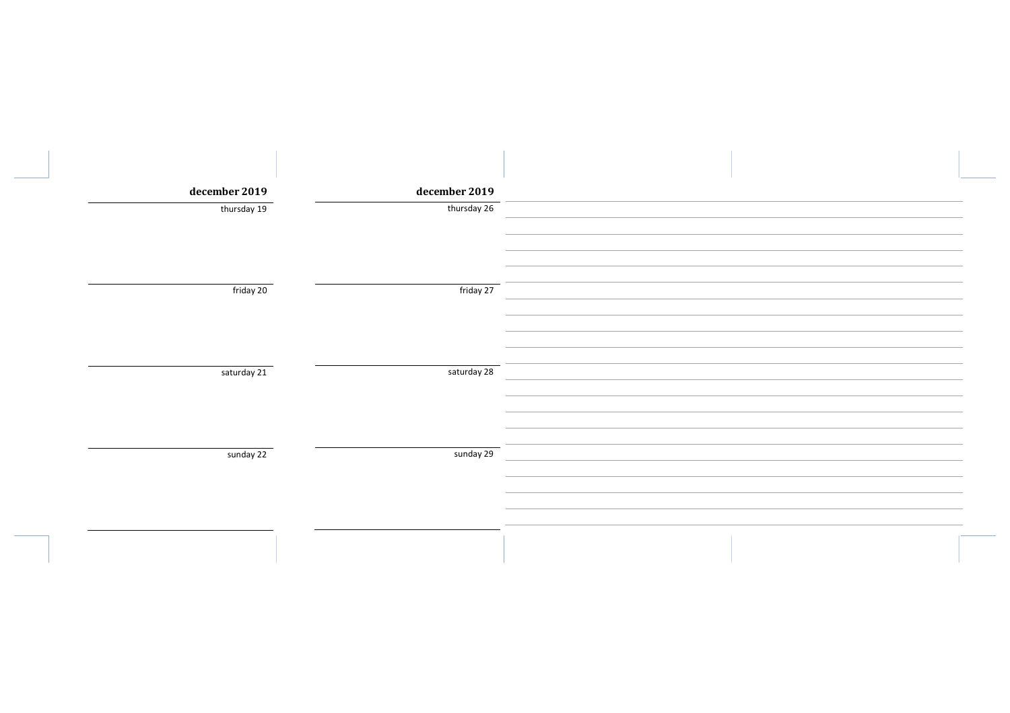| december 2019 | december 2019 |  |
|---------------|---------------|--|
| thursday 19   | thursday 26   |  |
|               |               |  |
|               |               |  |
|               |               |  |
| friday 20     | friday 27     |  |
|               |               |  |
|               |               |  |
|               |               |  |
| saturday 21   | saturday 28   |  |
|               |               |  |
|               |               |  |
|               |               |  |
| sunday 22     | sunday 29     |  |
|               |               |  |
|               |               |  |
|               |               |  |
|               |               |  |
|               |               |  |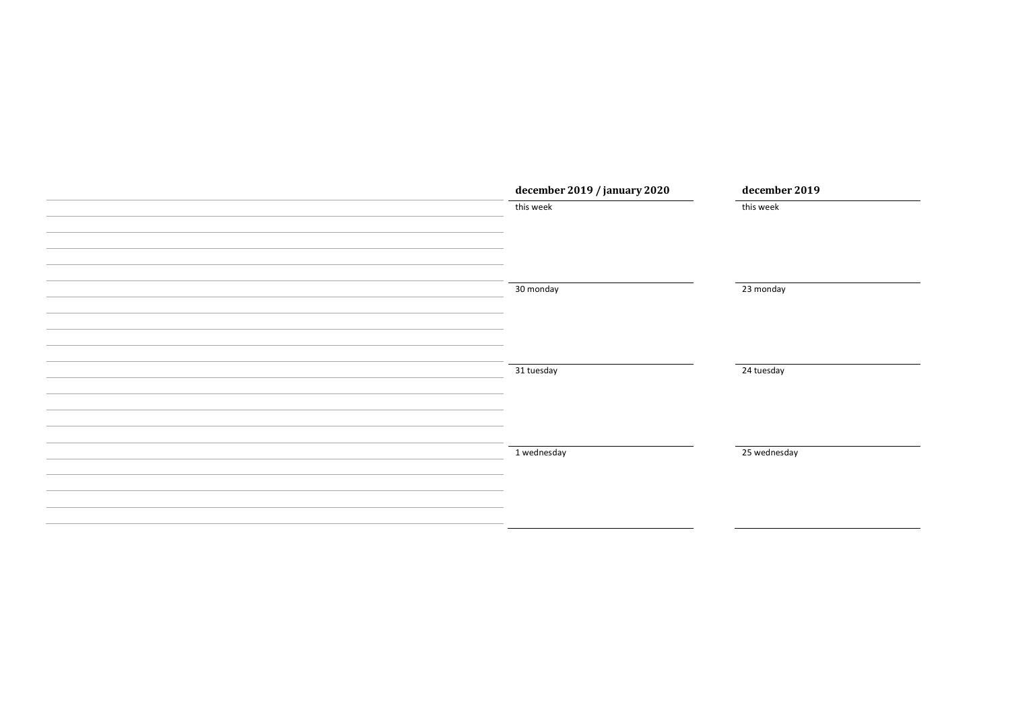| december 2019 / january 2020 | december 2019 |
|------------------------------|---------------|
| this week                    | this week     |
|                              |               |
|                              |               |
|                              |               |
| 30 monday                    | 23 monday     |
|                              |               |
|                              |               |
|                              |               |
|                              |               |
| 31 tuesday                   | 24 tuesday    |
|                              |               |
|                              |               |
|                              |               |
| 1 wednesday                  | 25 wednesday  |
|                              |               |
|                              |               |
|                              |               |
|                              |               |
|                              |               |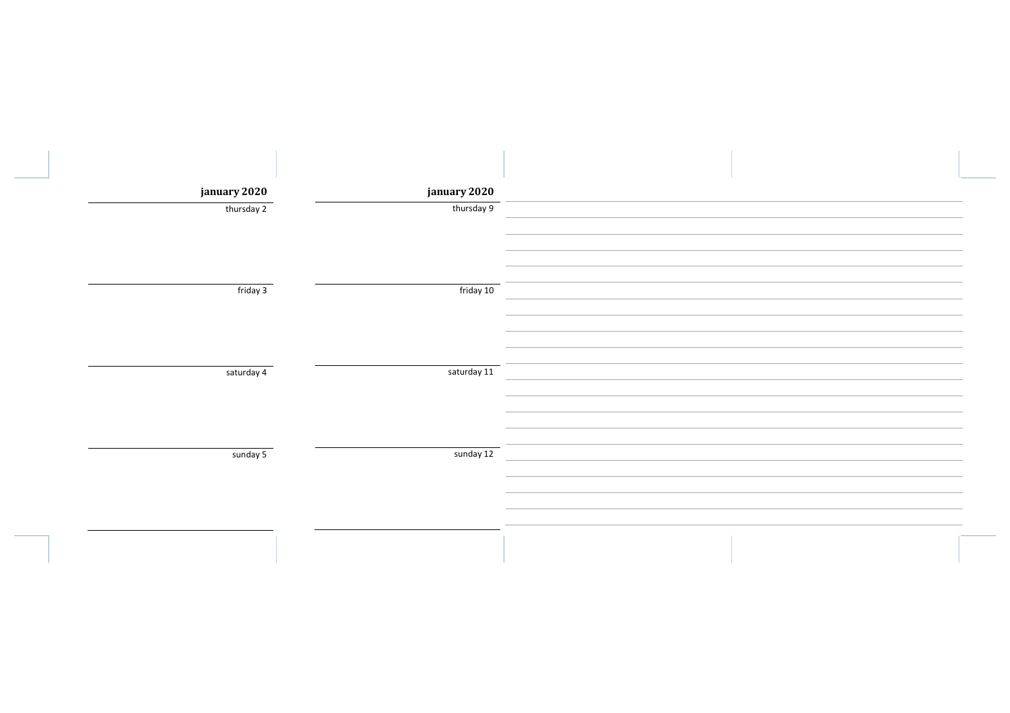| january 2020 | january 2020 |  |
|--------------|--------------|--|
| thursday 2   | thursday 9   |  |
|              |              |  |
|              |              |  |
|              |              |  |
| friday 3     | friday 10    |  |
|              |              |  |
|              |              |  |
|              |              |  |
| saturday 4   | saturday 11  |  |
|              |              |  |
|              |              |  |
|              |              |  |
| sunday 5     | sunday 12    |  |
|              |              |  |
|              |              |  |
|              |              |  |
|              |              |  |
|              |              |  |
|              |              |  |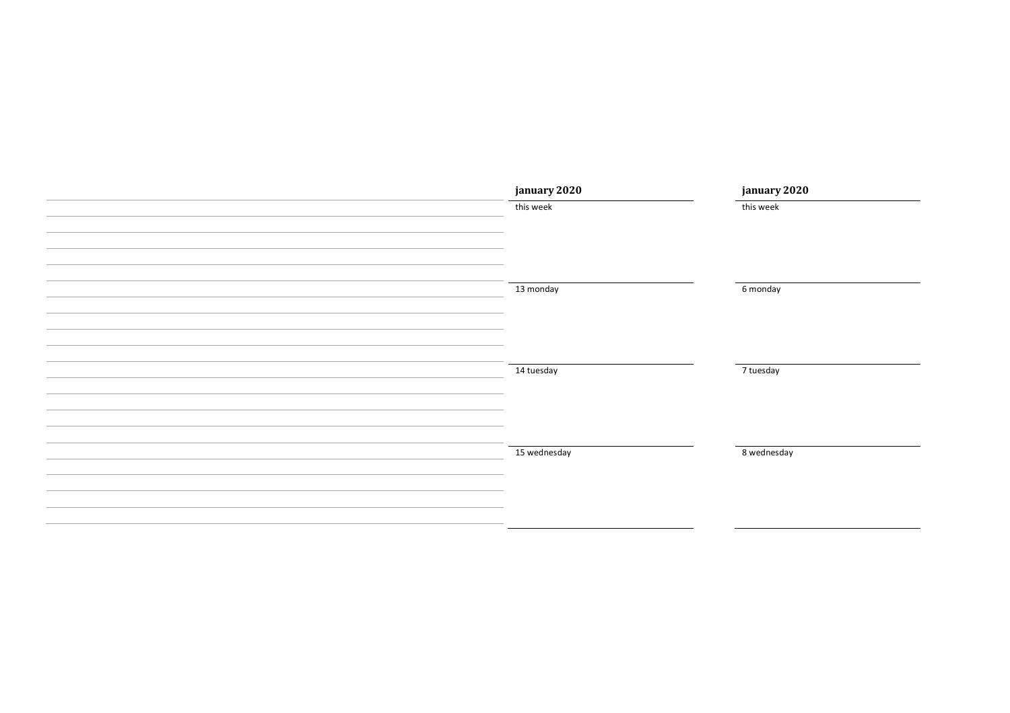| january 2020 | january 2020 |
|--------------|--------------|
| this week    | this week    |
|              |              |
|              |              |
|              |              |
| 13 monday    | 6 monday     |
|              |              |
|              |              |
|              |              |
|              |              |
| 14 tuesday   | 7 tuesday    |
|              |              |
|              |              |
|              |              |
|              |              |
| 15 wednesday | 8 wednesday  |
|              |              |
|              |              |
|              |              |
|              |              |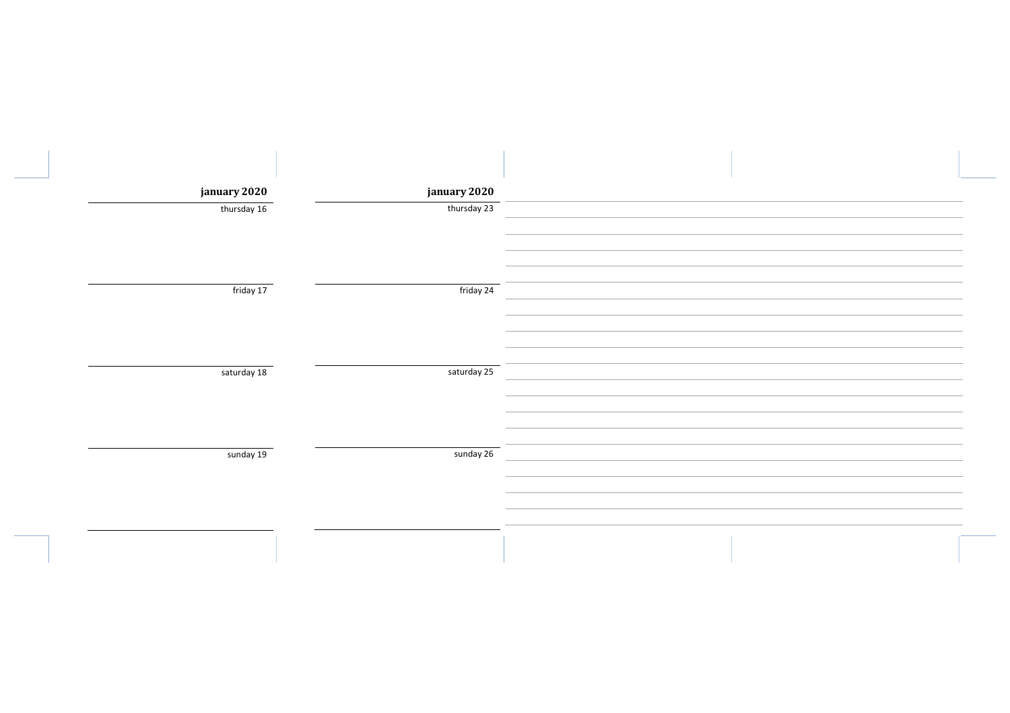| january 2020 | january 2020 |  |
|--------------|--------------|--|
| thursday 16  | thursday 23  |  |
|              |              |  |
| friday 17    | friday 24    |  |
| saturday 18  | saturday 25  |  |
|              |              |  |
| sunday 19    | sunday 26    |  |
|              |              |  |
|              |              |  |
|              |              |  |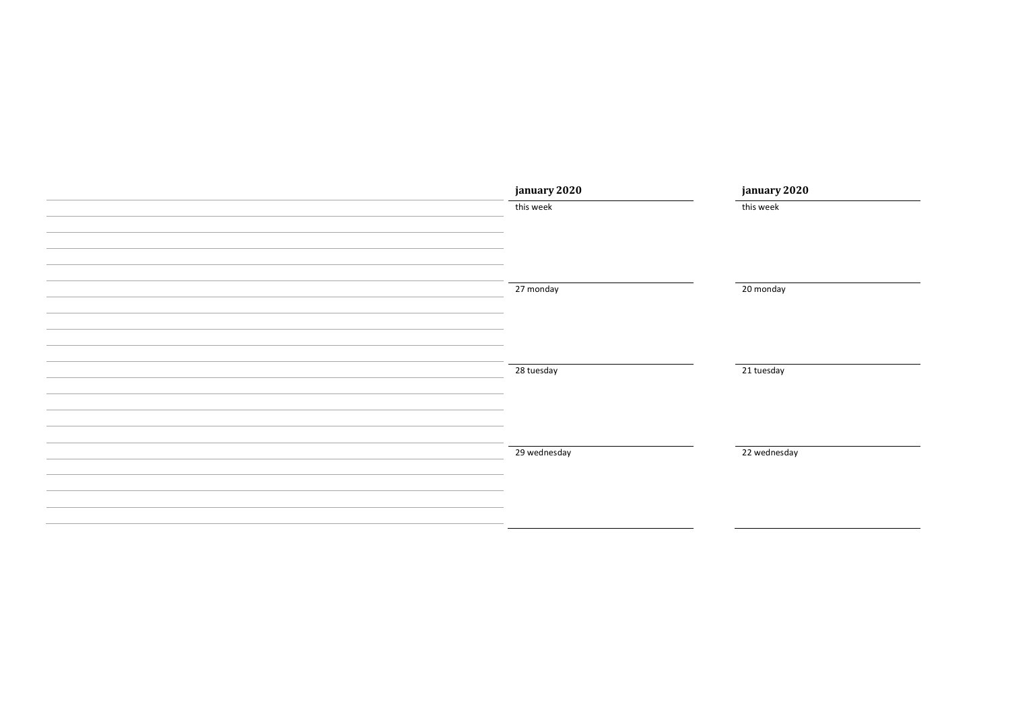| january 2020              | january 2020           |
|---------------------------|------------------------|
| this week                 | this week              |
|                           |                        |
|                           |                        |
|                           |                        |
| 27 monday                 | $\overline{20}$ monday |
|                           |                        |
|                           |                        |
|                           |                        |
|                           |                        |
| 28 tuesday                | 21 tuesday             |
|                           |                        |
|                           |                        |
|                           |                        |
| $\overline{29}$ wednesday | 22 wednesday           |
|                           |                        |
|                           |                        |
|                           |                        |
|                           |                        |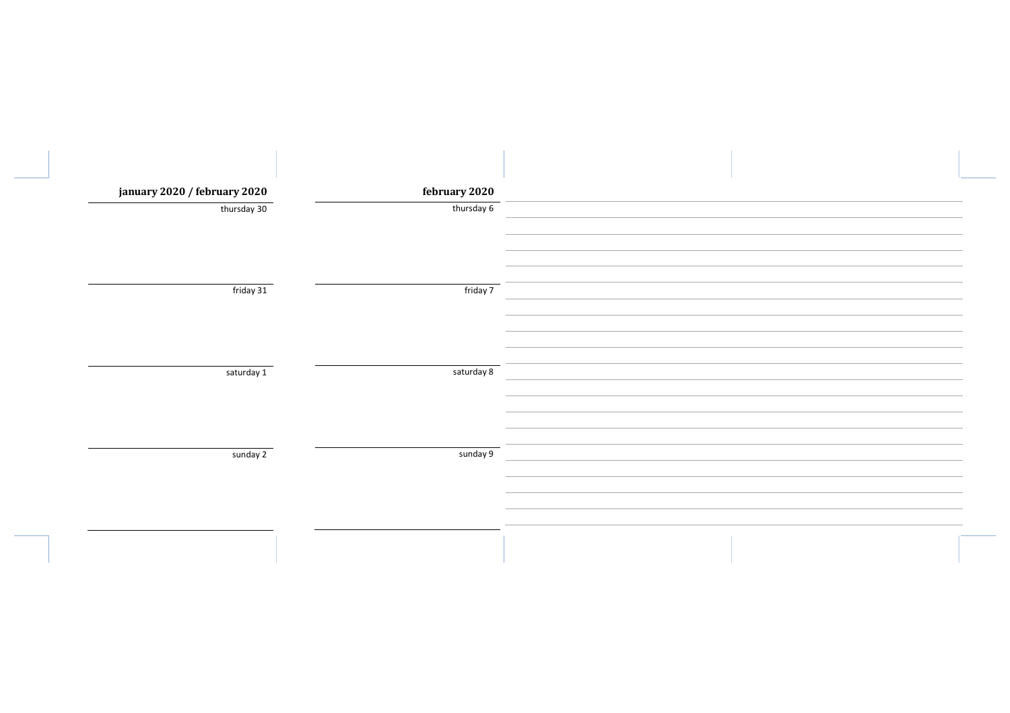| january 2020 / february 2020 | february 2020 |  |
|------------------------------|---------------|--|
| thursday 30                  | thursday 6    |  |
|                              |               |  |
|                              |               |  |
|                              |               |  |
| friday 31                    | friday 7      |  |
|                              |               |  |
|                              |               |  |
|                              |               |  |
| saturday 1                   | saturday 8    |  |
|                              |               |  |
|                              |               |  |
|                              |               |  |
| sunday 2                     | sunday 9      |  |
|                              |               |  |
|                              |               |  |
|                              |               |  |
|                              |               |  |
|                              |               |  |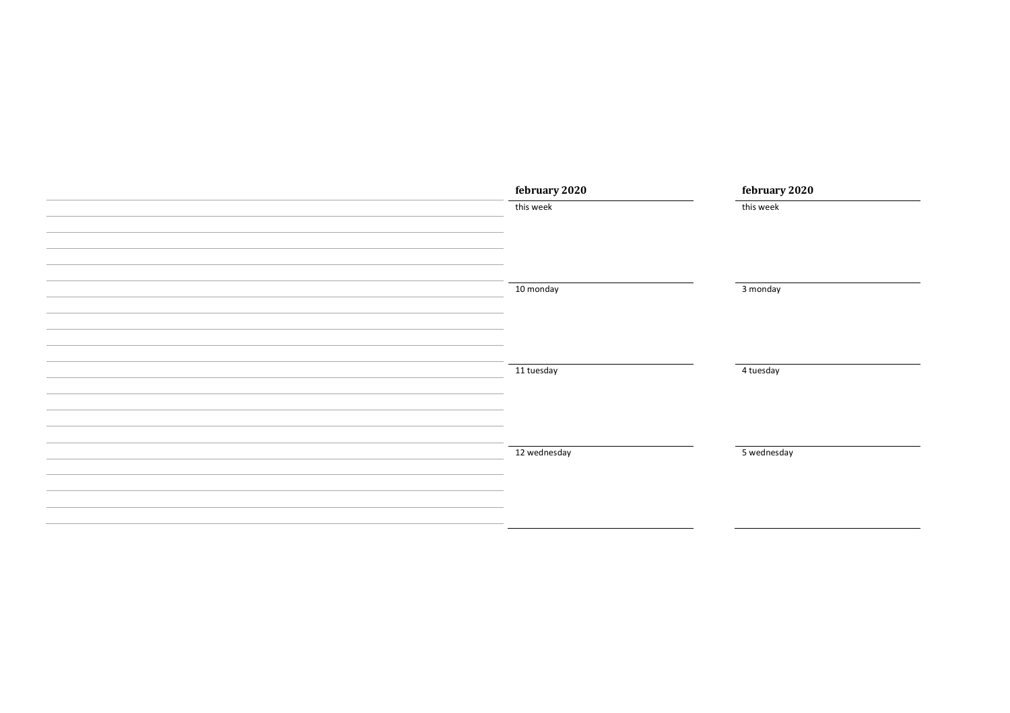| february 2020 | february 2020 |
|---------------|---------------|
| this week     | this week     |
|               |               |
|               |               |
|               |               |
| 10 monday     | 3 monday      |
|               |               |
|               |               |
|               |               |
|               |               |
| 11 tuesday    | 4 tuesday     |
|               |               |
|               |               |
|               |               |
|               |               |
| 12 wednesday  | 5 wednesday   |
|               |               |
|               |               |
|               |               |
|               |               |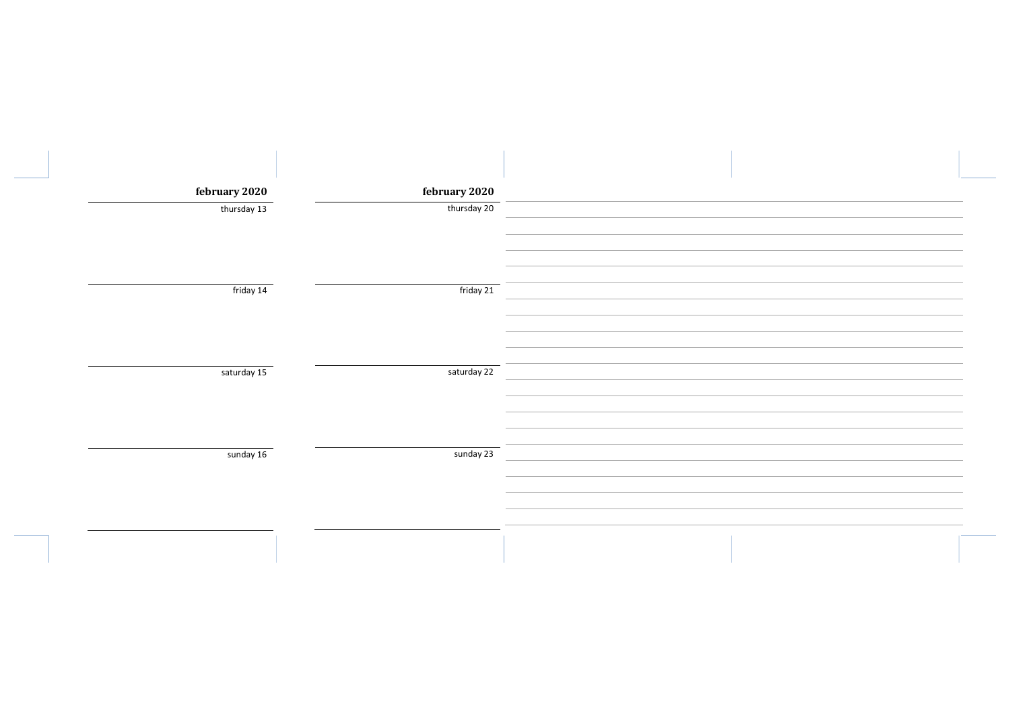| february 2020 | february 2020 |  |
|---------------|---------------|--|
| thursday 13   | thursday 20   |  |
|               |               |  |
|               |               |  |
|               |               |  |
| friday 14     | friday 21     |  |
|               |               |  |
|               |               |  |
| saturday 15   | saturday 22   |  |
|               |               |  |
|               |               |  |
|               |               |  |
| sunday 16     | sunday 23     |  |
|               |               |  |
|               |               |  |
|               |               |  |
|               |               |  |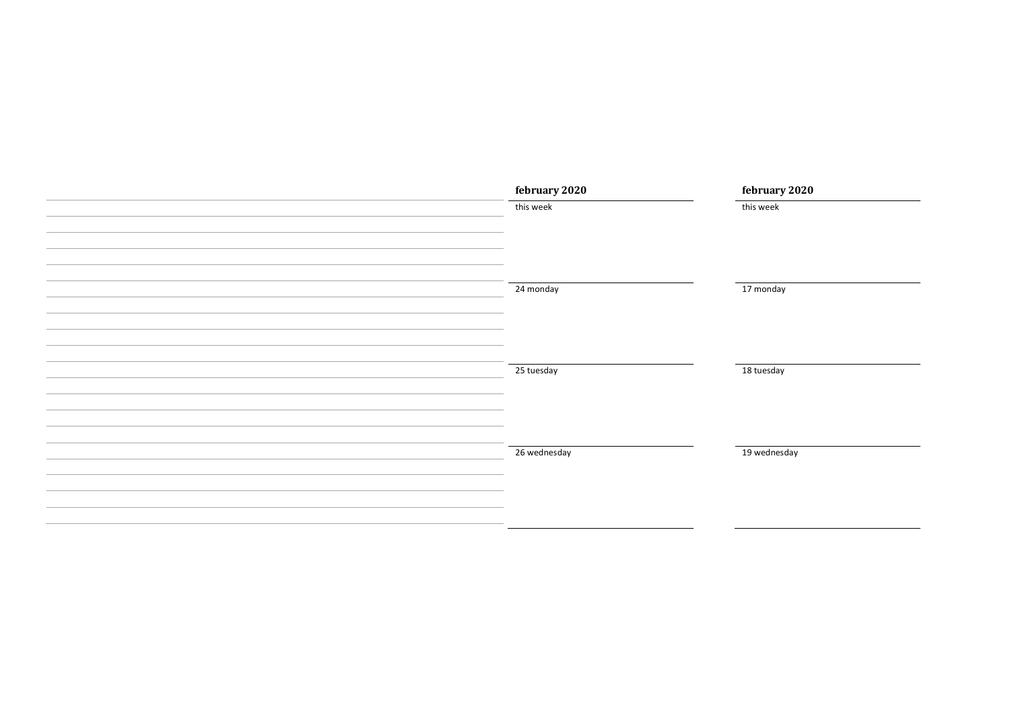| february 2020 | february 2020 |
|---------------|---------------|
| this week     | this week     |
|               |               |
|               |               |
|               |               |
| 24 monday     | 17 monday     |
|               |               |
|               |               |
|               |               |
|               |               |
| 25 tuesday    | 18 tuesday    |
|               |               |
|               |               |
|               |               |
| 26 wednesday  | 19 wednesday  |
|               |               |
|               |               |
|               |               |
|               |               |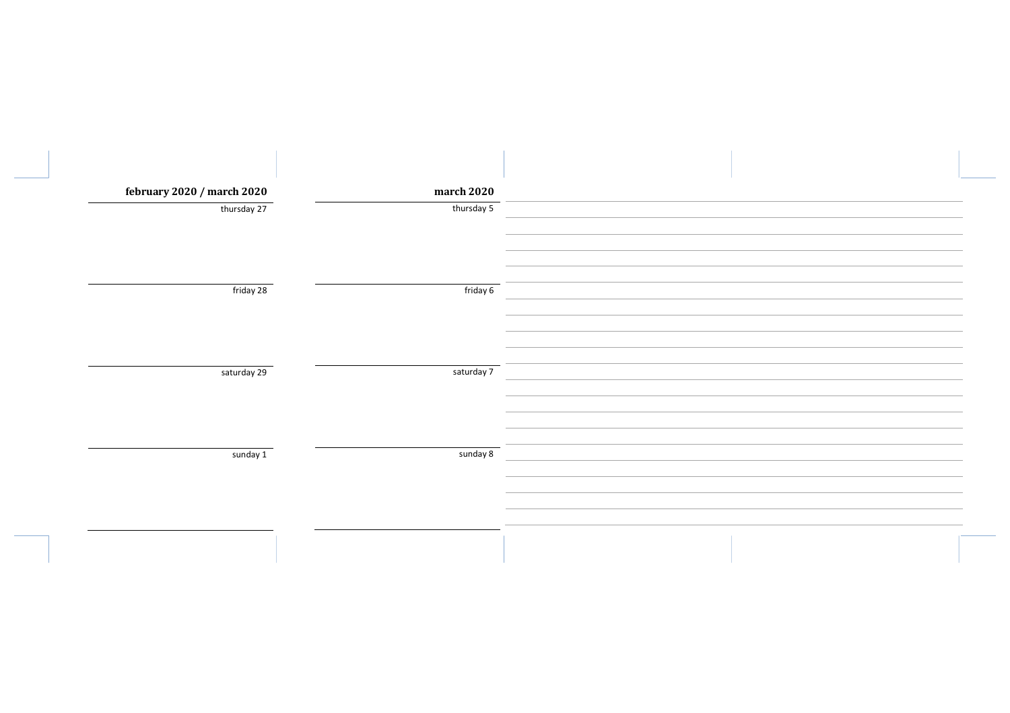| february 2020 / march 2020 | march 2020 |  |
|----------------------------|------------|--|
| thursday 27                | thursday 5 |  |
|                            |            |  |
|                            |            |  |
| friday 28                  | friday 6   |  |
|                            |            |  |
|                            |            |  |
|                            |            |  |
| saturday 29                | saturday 7 |  |
|                            |            |  |
|                            |            |  |
| sunday 1                   | sunday 8   |  |
|                            |            |  |
|                            |            |  |
|                            |            |  |
|                            |            |  |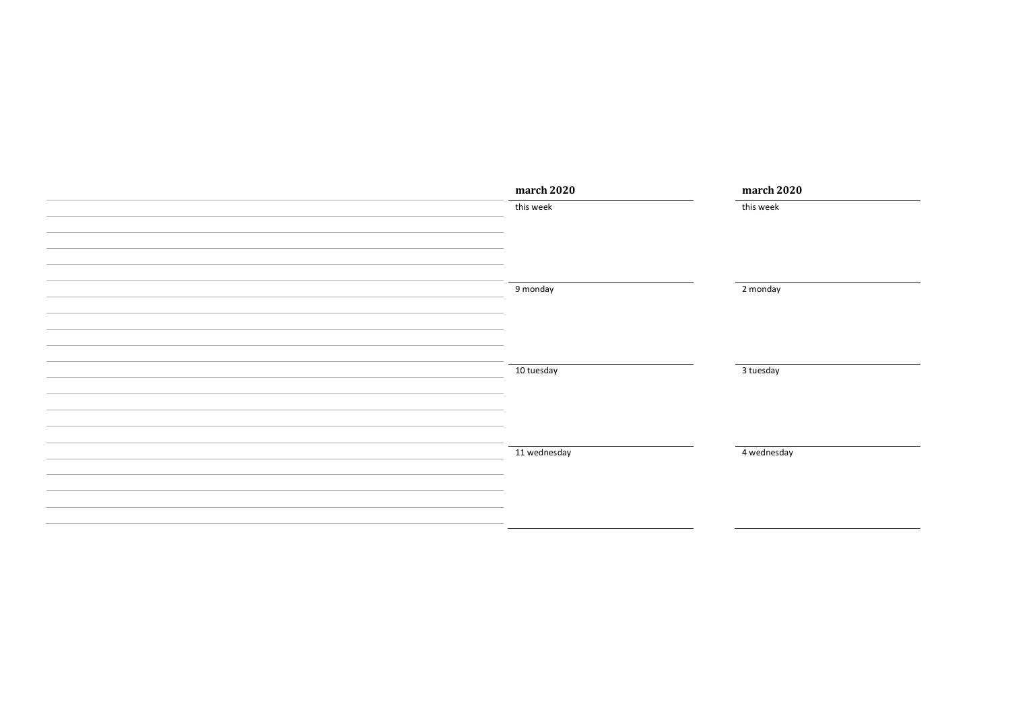| march 2020   | march 2020  |
|--------------|-------------|
| this week    | this week   |
|              |             |
|              |             |
|              |             |
|              |             |
| 9 monday     | 2 monday    |
|              |             |
|              |             |
|              |             |
|              |             |
| 10 tuesday   | 3 tuesday   |
|              |             |
|              |             |
|              |             |
| 11 wednesday | 4 wednesday |
|              |             |
|              |             |
|              |             |
|              |             |
|              |             |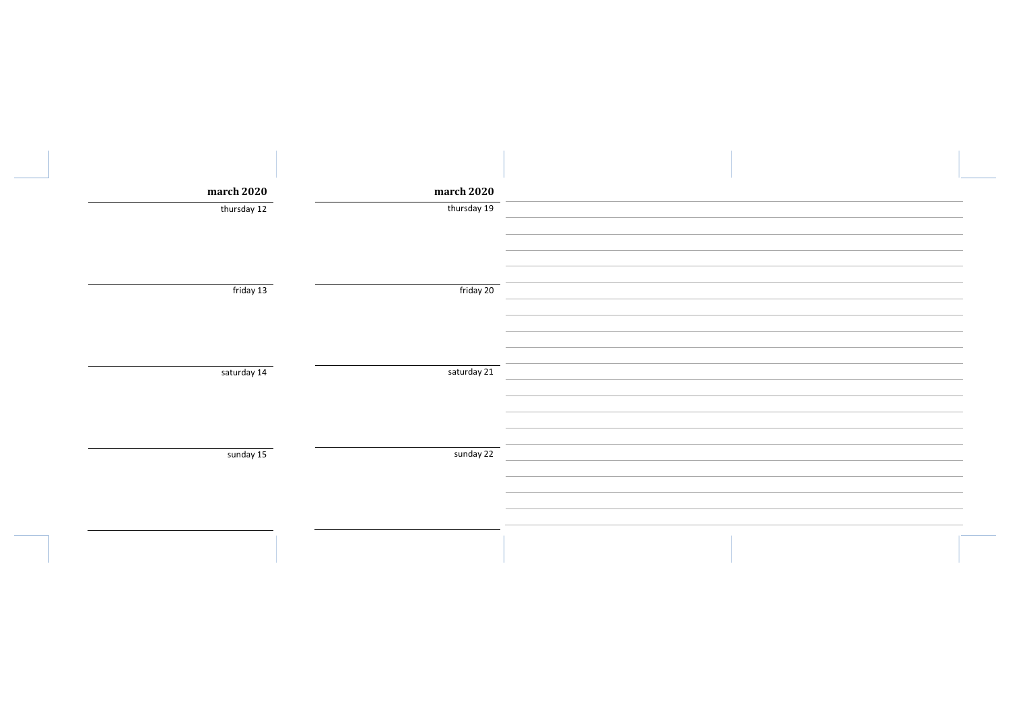| march 2020  | march 2020  |  |
|-------------|-------------|--|
| thursday 12 | thursday 19 |  |
| friday 13   | friday 20   |  |
|             |             |  |
| saturday 14 | saturday 21 |  |
| sunday 15   | sunday 22   |  |
|             |             |  |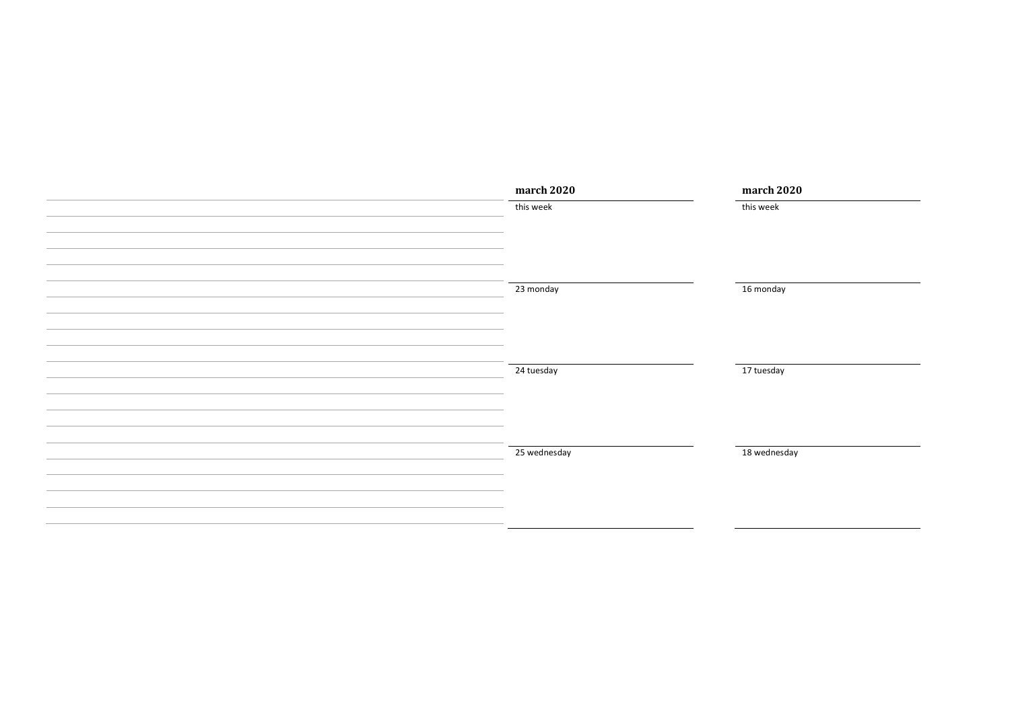| march 2020   | march 2020   |
|--------------|--------------|
| this week    | this week    |
|              |              |
|              |              |
|              |              |
|              |              |
| 23 monday    | 16 monday    |
|              |              |
|              |              |
|              |              |
|              |              |
| 24 tuesday   | 17 tuesday   |
|              |              |
|              |              |
|              |              |
| 25 wednesday | 18 wednesday |
|              |              |
|              |              |
|              |              |
|              |              |
|              |              |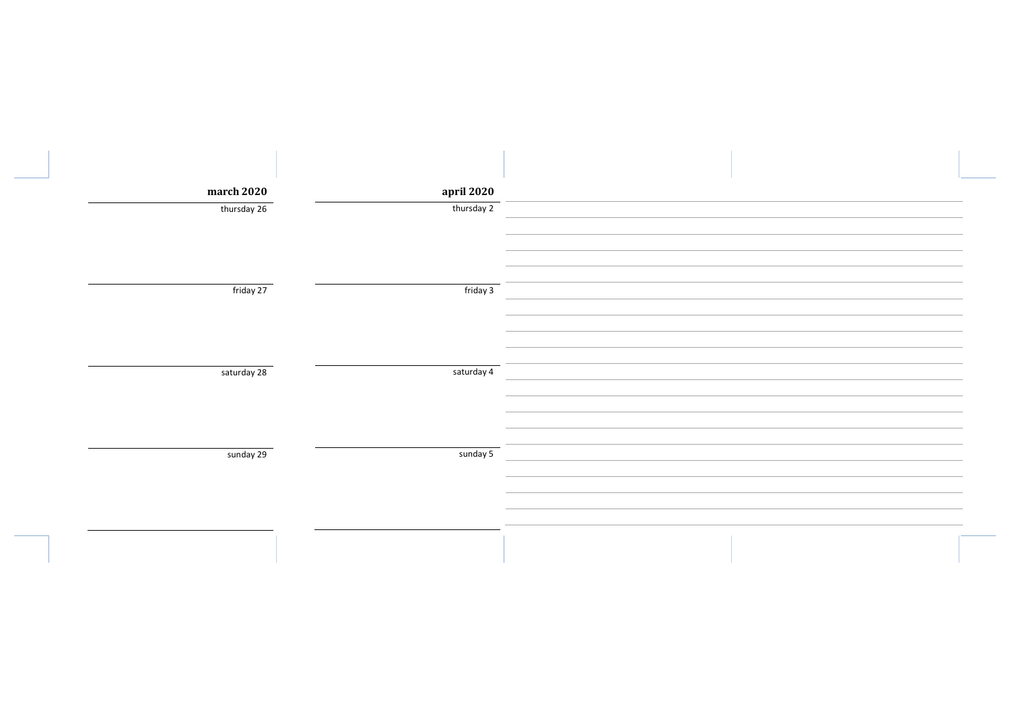| march 2020  | april 2020 |  |
|-------------|------------|--|
| thursday 26 | thursday 2 |  |
|             |            |  |
|             |            |  |
| friday 27   | friday 3   |  |
|             |            |  |
|             |            |  |
| saturday 28 | saturday 4 |  |
|             |            |  |
|             |            |  |
| sunday 29   | sunday 5   |  |
|             |            |  |
|             |            |  |
|             |            |  |
|             |            |  |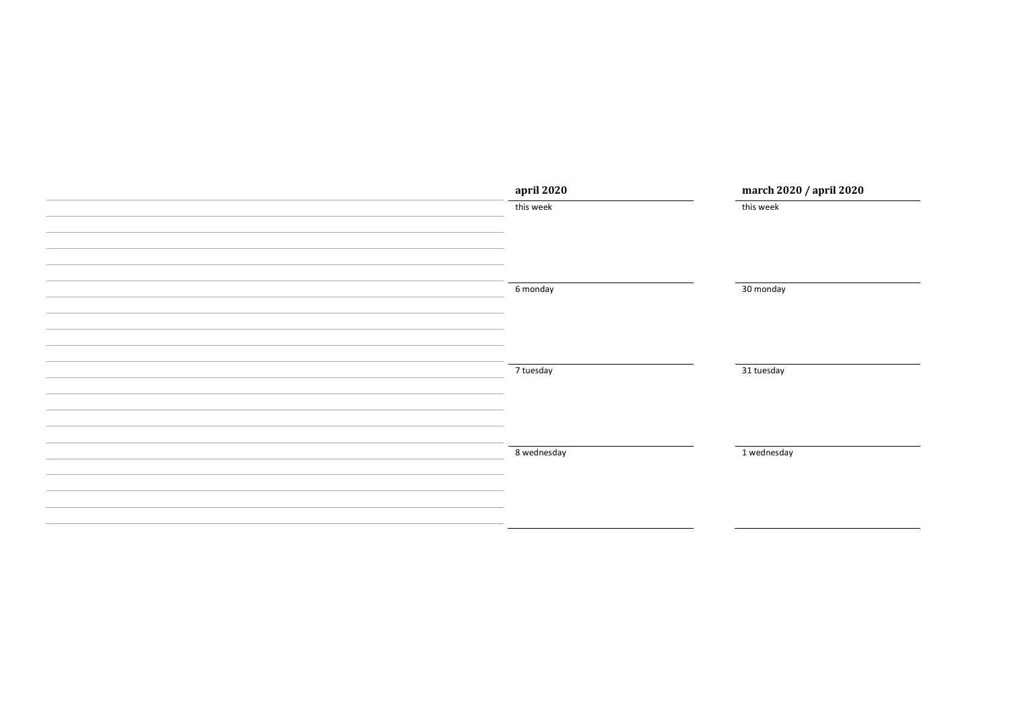| april 2020  | march 2020 / april 2020 |
|-------------|-------------------------|
| this week   | this week               |
|             |                         |
|             |                         |
|             |                         |
|             |                         |
| 6 monday    | 30 monday               |
|             |                         |
|             |                         |
|             |                         |
|             |                         |
| 7 tuesday   | 31 tuesday              |
|             |                         |
|             |                         |
|             |                         |
| 8 wednesday | 1 wednesday             |
|             |                         |
|             |                         |
|             |                         |
|             |                         |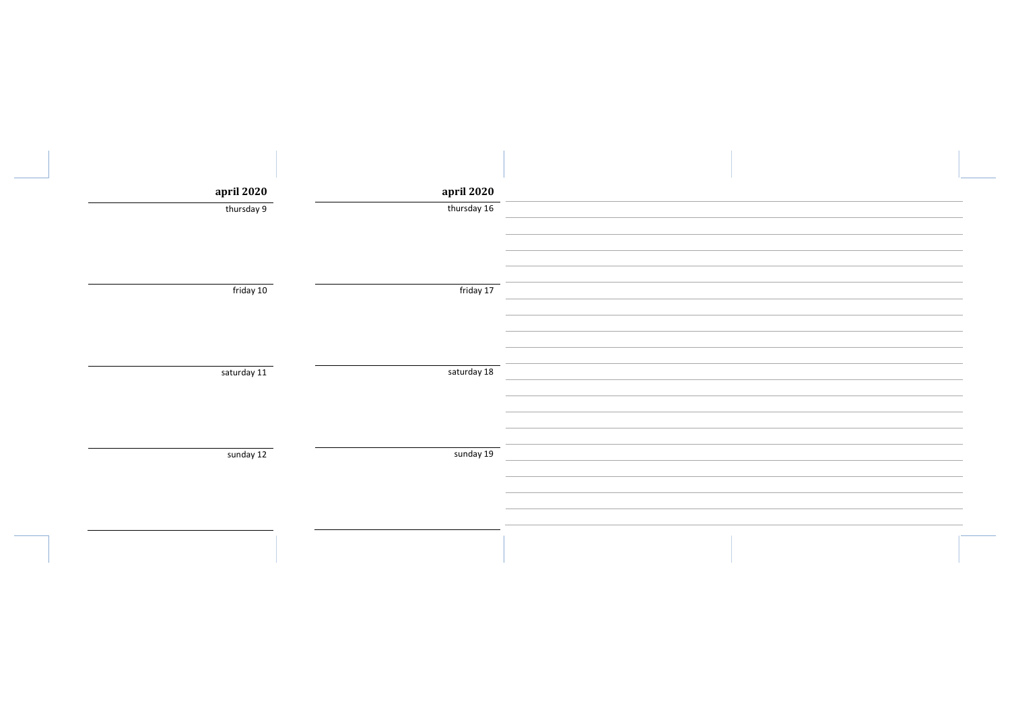| april 2020  | april 2020  |  |
|-------------|-------------|--|
| thursday 9  | thursday 16 |  |
|             |             |  |
|             |             |  |
| friday 10   | friday 17   |  |
|             |             |  |
|             |             |  |
|             |             |  |
| saturday 11 | saturday 18 |  |
|             |             |  |
|             |             |  |
|             |             |  |
| sunday 12   | sunday 19   |  |
|             |             |  |
|             |             |  |
|             |             |  |
|             |             |  |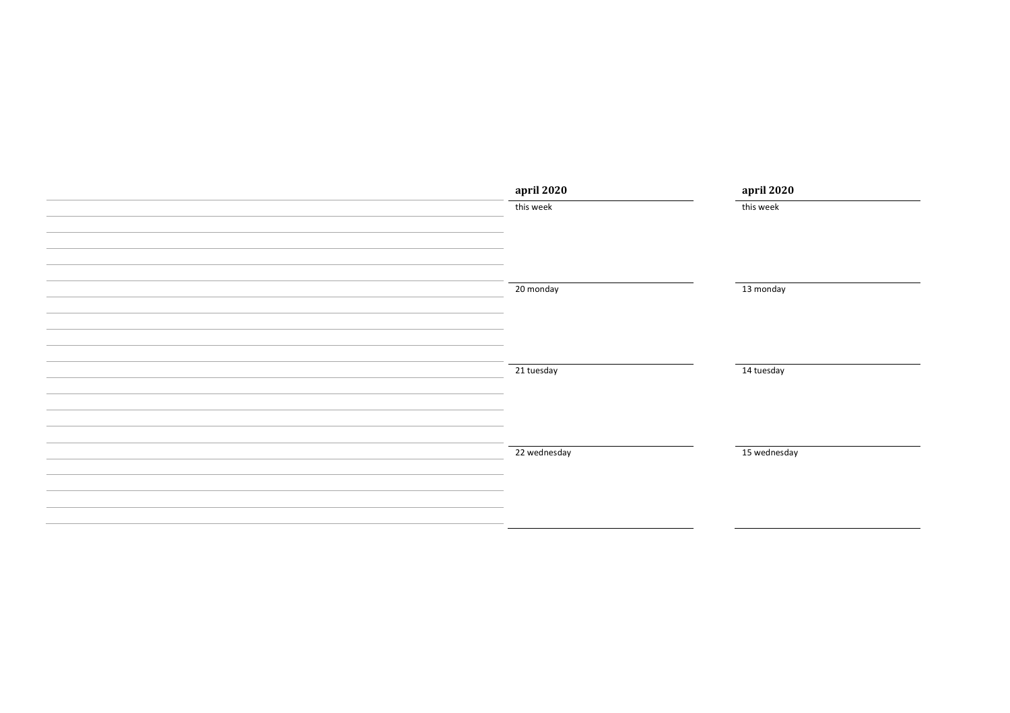| april 2020   | april 2020   |
|--------------|--------------|
| this week    | this week    |
|              |              |
|              |              |
|              |              |
|              |              |
| 20 monday    | 13 monday    |
|              |              |
|              |              |
|              |              |
| 21 tuesday   | 14 tuesday   |
|              |              |
|              |              |
|              |              |
|              |              |
| 22 wednesday | 15 wednesday |
|              |              |
|              |              |
|              |              |
|              |              |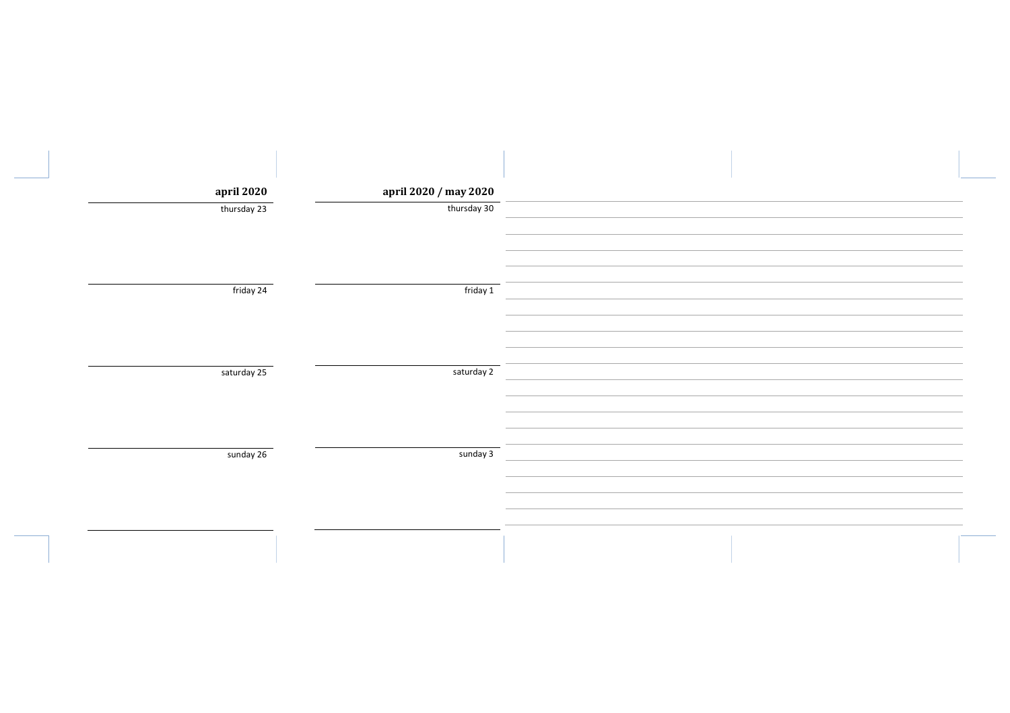| april 2020  | april 2020 / may 2020 |  |
|-------------|-----------------------|--|
| thursday 23 | thursday 30           |  |
| friday 24   | friday 1              |  |
| saturday 25 | saturday 2            |  |
| sunday 26   | sunday 3              |  |
|             |                       |  |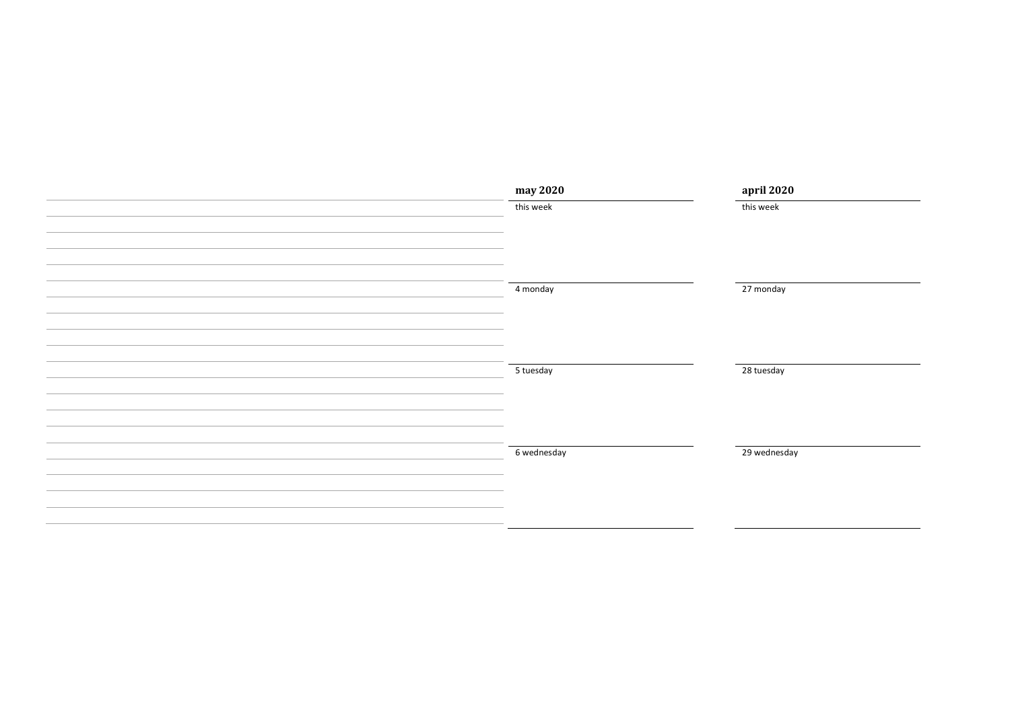| may 2020    | april 2020   |
|-------------|--------------|
| this week   | this week    |
|             |              |
|             |              |
|             |              |
| 4 monday    | 27 monday    |
|             |              |
|             |              |
|             |              |
|             |              |
| 5 tuesday   | 28 tuesday   |
|             |              |
|             |              |
|             |              |
|             |              |
| 6 wednesday | 29 wednesday |
|             |              |
|             |              |
|             |              |
|             |              |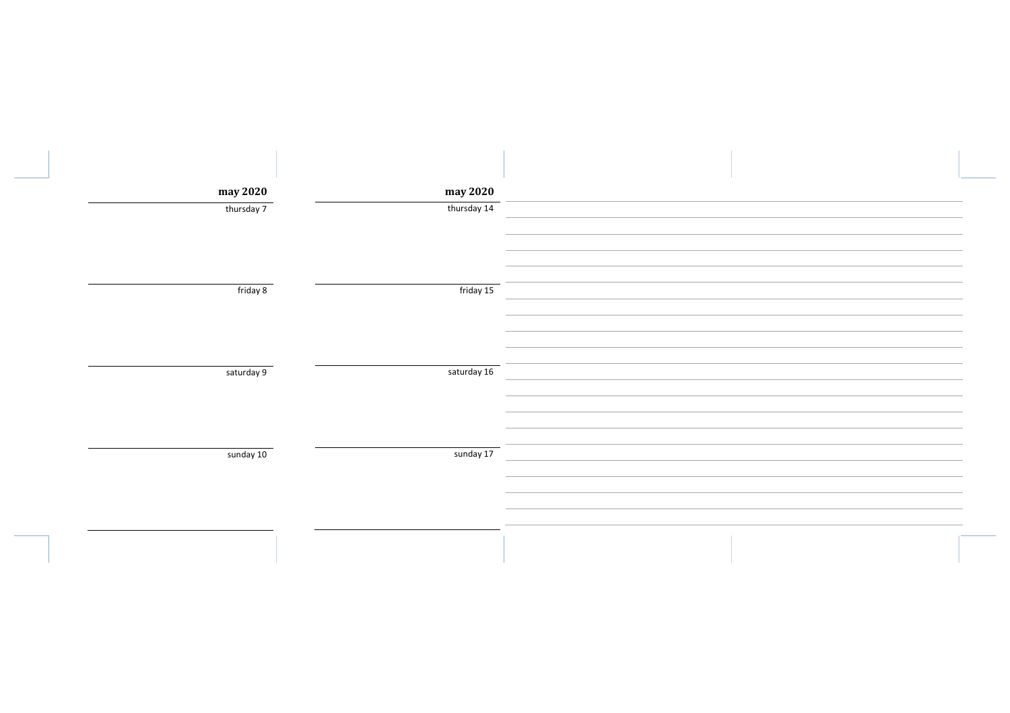| may 2020   | may 2020    |  |
|------------|-------------|--|
| thursday 7 | thursday 14 |  |
| friday 8   | friday 15   |  |
|            |             |  |
| saturday 9 | saturday 16 |  |
|            |             |  |
|            |             |  |
| sunday 10  | sunday 17   |  |
|            |             |  |
|            |             |  |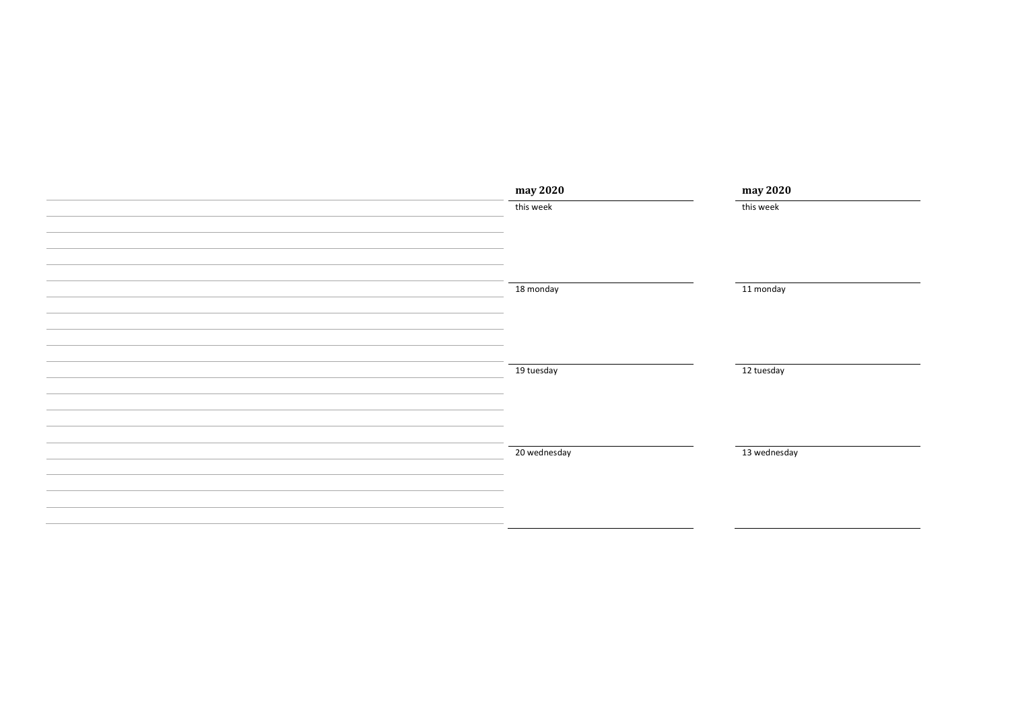| may 2020     | may 2020     |
|--------------|--------------|
| this week    | this week    |
|              |              |
|              |              |
|              |              |
|              |              |
| 18 monday    | 11 monday    |
|              |              |
|              |              |
|              |              |
| 19 tuesday   | 12 tuesday   |
|              |              |
|              |              |
|              |              |
|              |              |
| 20 wednesday | 13 wednesday |
|              |              |
|              |              |
|              |              |
|              |              |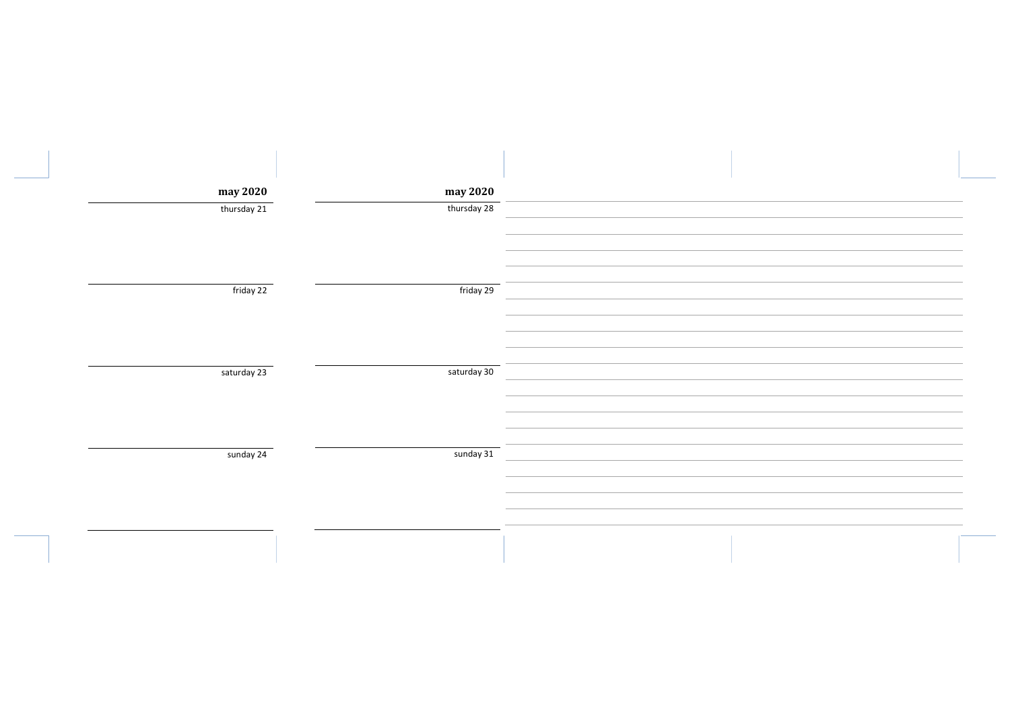| may 2020    | may 2020    |  |
|-------------|-------------|--|
| thursday 21 | thursday 28 |  |
| friday 22   | friday 29   |  |
| saturday 23 | saturday 30 |  |
| sunday 24   | sunday 31   |  |
|             |             |  |
|             |             |  |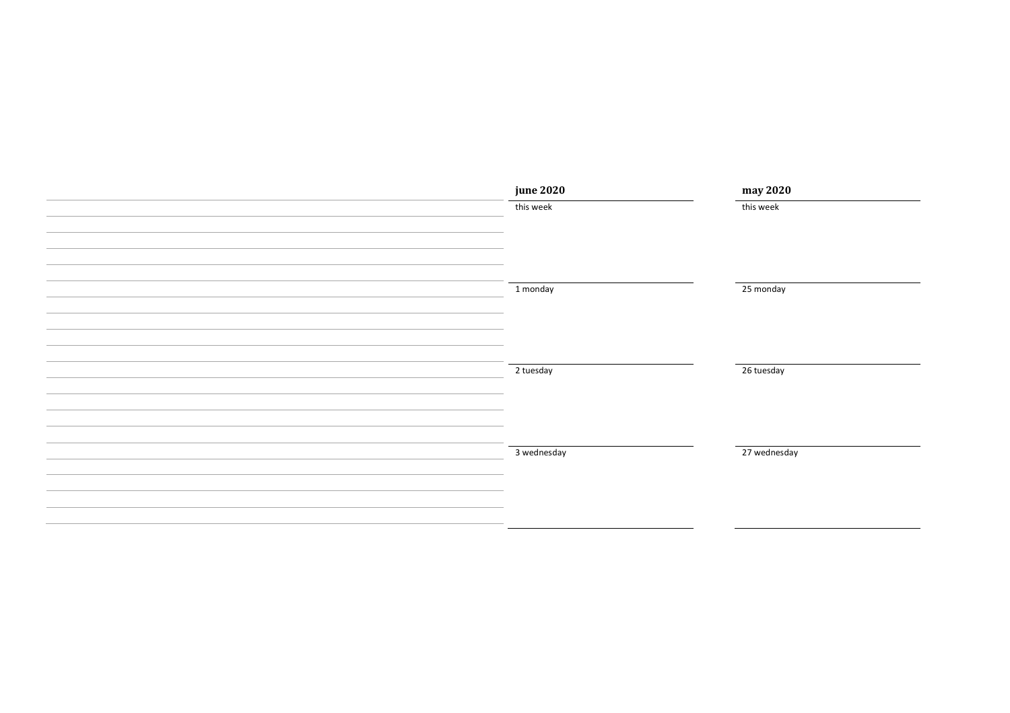| <b>june 2020</b> | may 2020     |
|------------------|--------------|
| this week        | this week    |
|                  |              |
|                  |              |
|                  |              |
| 1 monday         | 25 monday    |
|                  |              |
|                  |              |
|                  |              |
| 2 tuesday        | 26 tuesday   |
|                  |              |
|                  |              |
|                  |              |
| 3 wednesday      | 27 wednesday |
|                  |              |
|                  |              |
|                  |              |
|                  |              |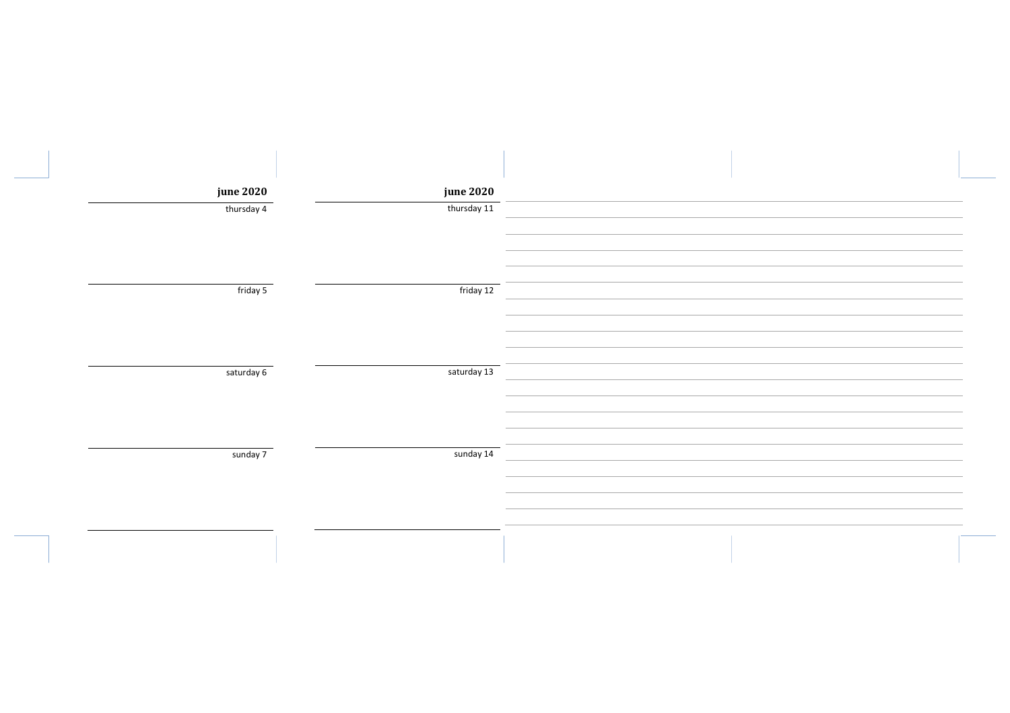| <b>june 2020</b> | <b>june 2020</b> |  |
|------------------|------------------|--|
| thursday 4       | thursday 11      |  |
|                  |                  |  |
| friday 5         | friday 12        |  |
| saturday 6       | saturday 13      |  |
|                  |                  |  |
| sunday 7         | sunday 14        |  |
|                  |                  |  |
|                  |                  |  |
|                  |                  |  |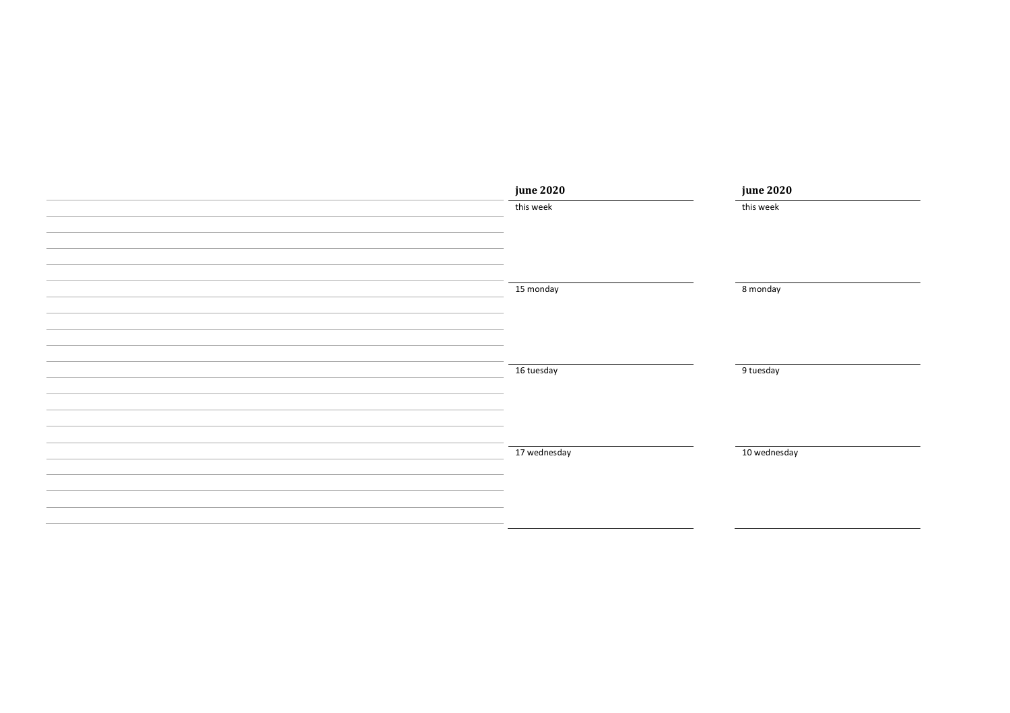| <b>june 2020</b> | <b>june 2020</b> |
|------------------|------------------|
| this week        | this week        |
|                  |                  |
|                  |                  |
|                  |                  |
| 15 monday        | 8 monday         |
|                  |                  |
|                  |                  |
|                  |                  |
| 16 tuesday       | 9 tuesday        |
|                  |                  |
|                  |                  |
|                  |                  |
| 17 wednesday     | 10 wednesday     |
|                  |                  |
|                  |                  |
|                  |                  |
|                  |                  |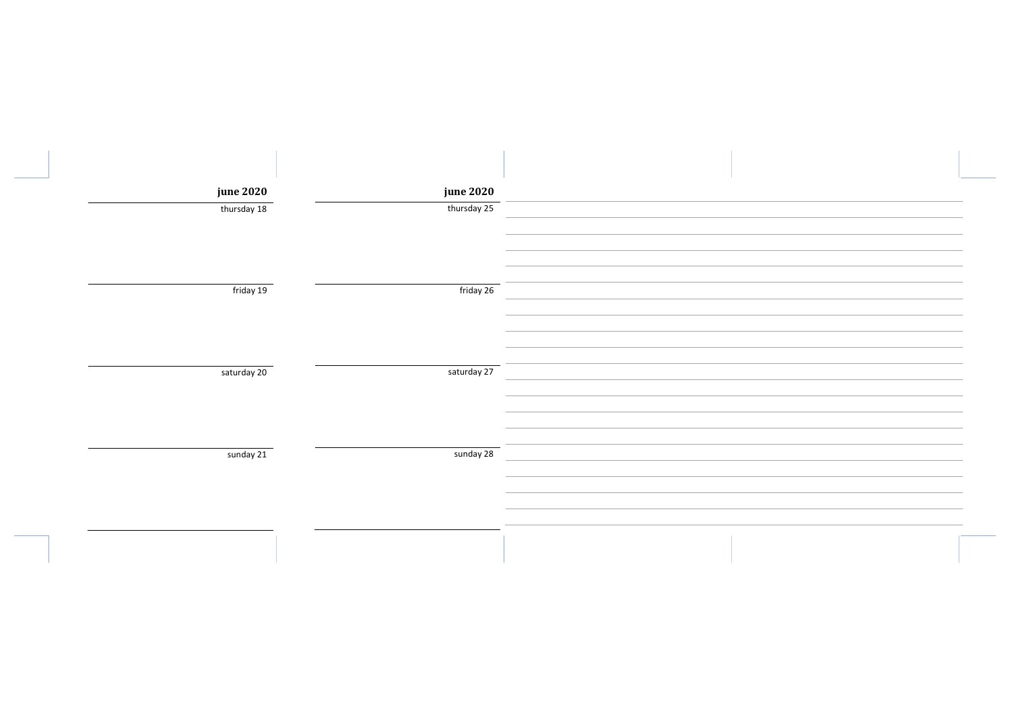| <b>june 2020</b> | <b>june 2020</b> |  |
|------------------|------------------|--|
| thursday 18      | thursday 25      |  |
| friday 19        | friday 26        |  |
| saturday 20      | saturday 27      |  |
| sunday 21        | sunday 28        |  |
|                  |                  |  |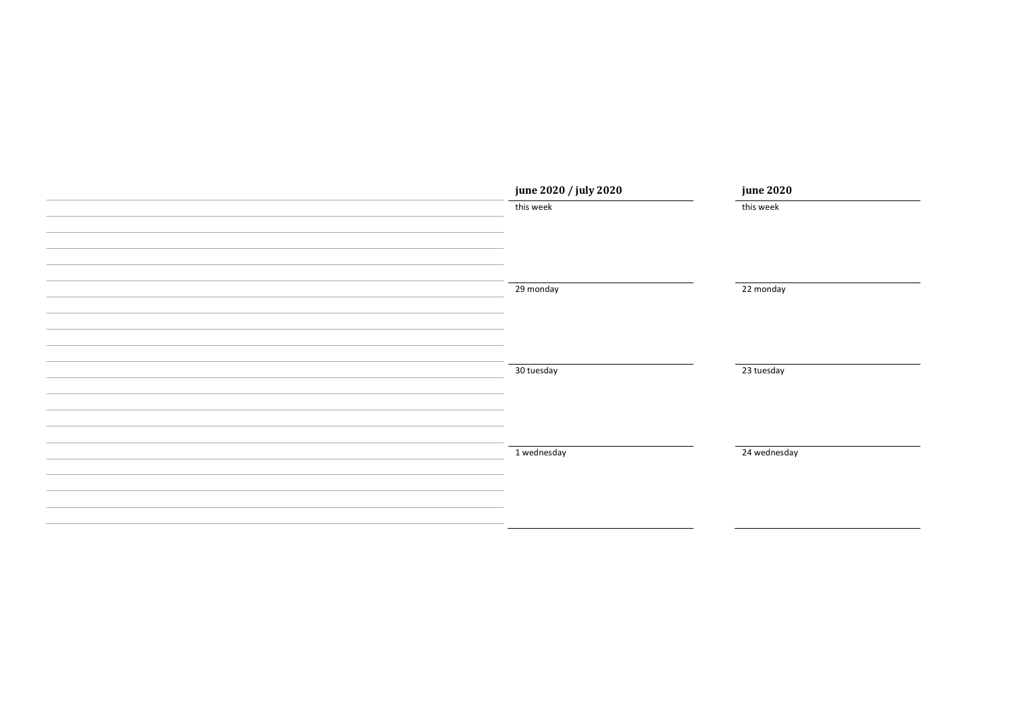| june 2020 / july 2020 | <b>june 2020</b> |
|-----------------------|------------------|
| this week             | this week        |
|                       |                  |
|                       |                  |
|                       |                  |
| 29 monday             | 22 monday        |
|                       |                  |
|                       |                  |
|                       |                  |
|                       |                  |
| 30 tuesday            | 23 tuesday       |
|                       |                  |
|                       |                  |
|                       |                  |
| 1 wednesday           | 24 wednesday     |
|                       |                  |
|                       |                  |
|                       |                  |
|                       |                  |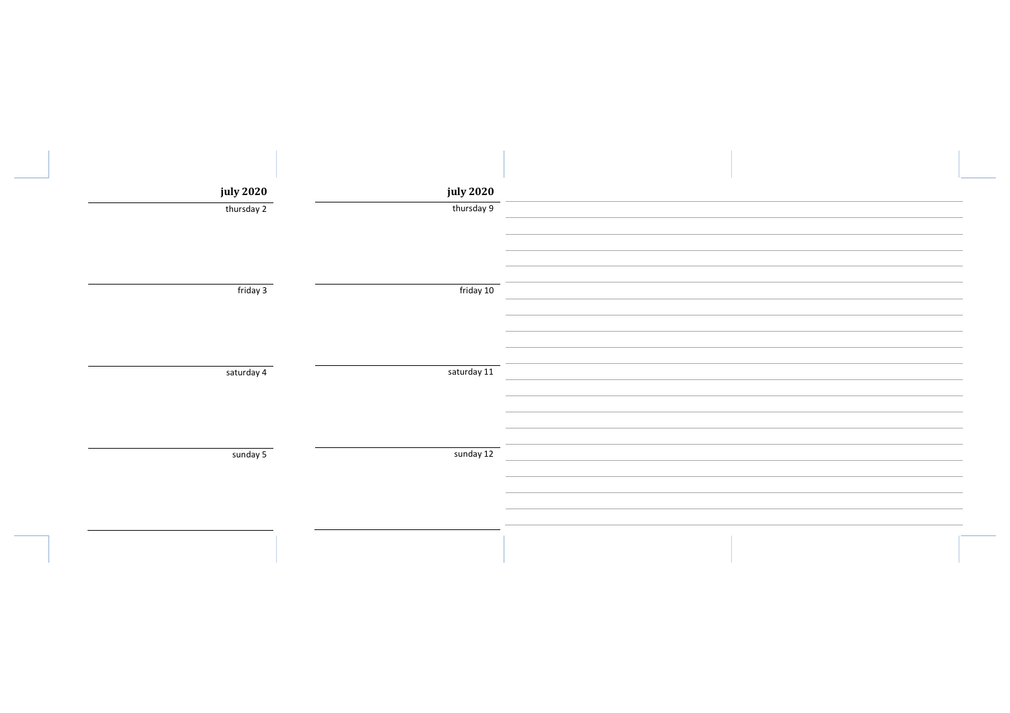| july 2020  | <b>july 2020</b> |  |
|------------|------------------|--|
| thursday 2 | thursday 9       |  |
| friday 3   | friday 10        |  |
| saturday 4 | saturday 11      |  |
| sunday 5   | sunday 12        |  |
|            |                  |  |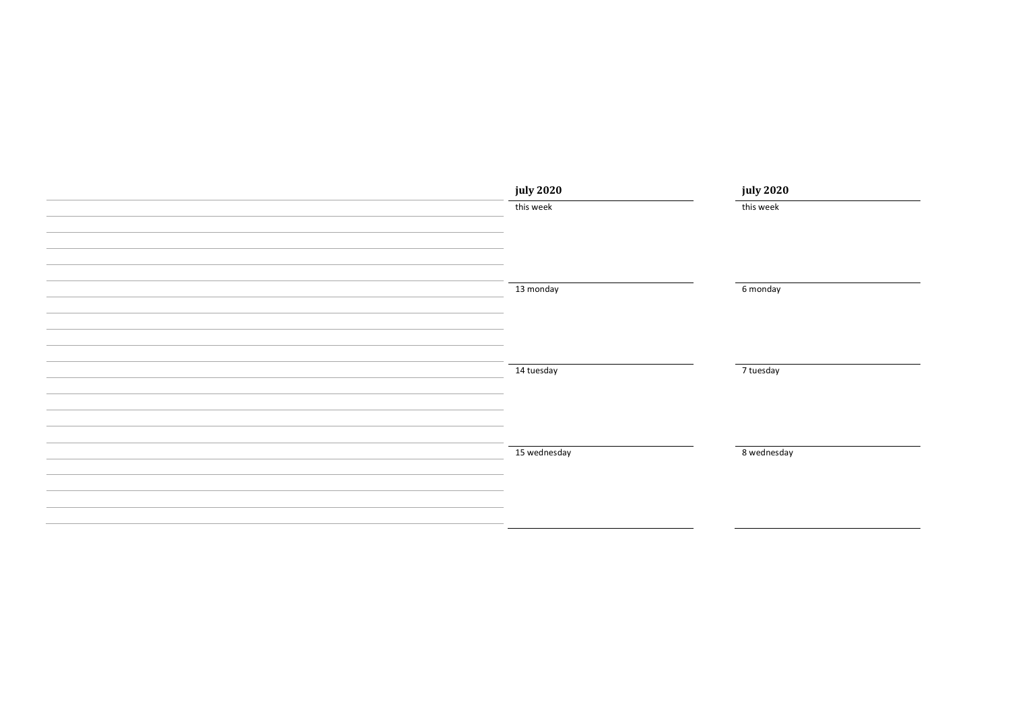| july 2020    | july 2020   |
|--------------|-------------|
| this week    | this week   |
|              |             |
|              |             |
|              |             |
|              |             |
| 13 monday    | 6 monday    |
|              |             |
|              |             |
|              |             |
| 14 tuesday   | 7 tuesday   |
|              |             |
|              |             |
|              |             |
|              |             |
| 15 wednesday | 8 wednesday |
|              |             |
|              |             |
|              |             |
|              |             |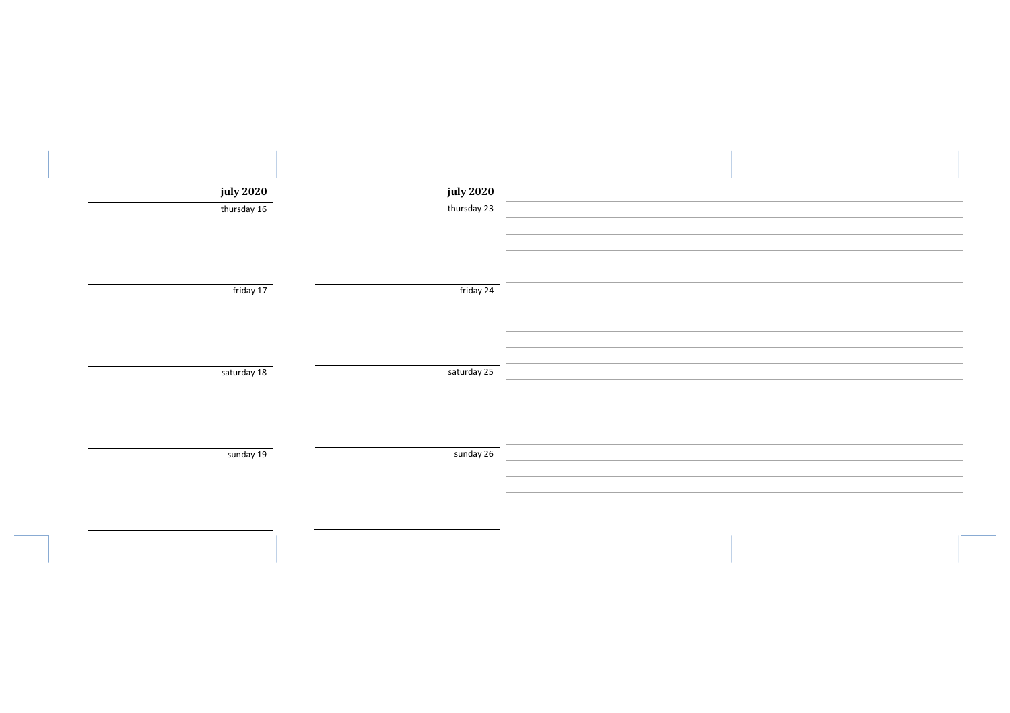| <b>july 2020</b> | <b>july 2020</b> |  |
|------------------|------------------|--|
| thursday 16      | thursday 23      |  |
| friday 17        | friday 24        |  |
| saturday 18      | saturday 25      |  |
| sunday 19        | sunday 26        |  |
|                  |                  |  |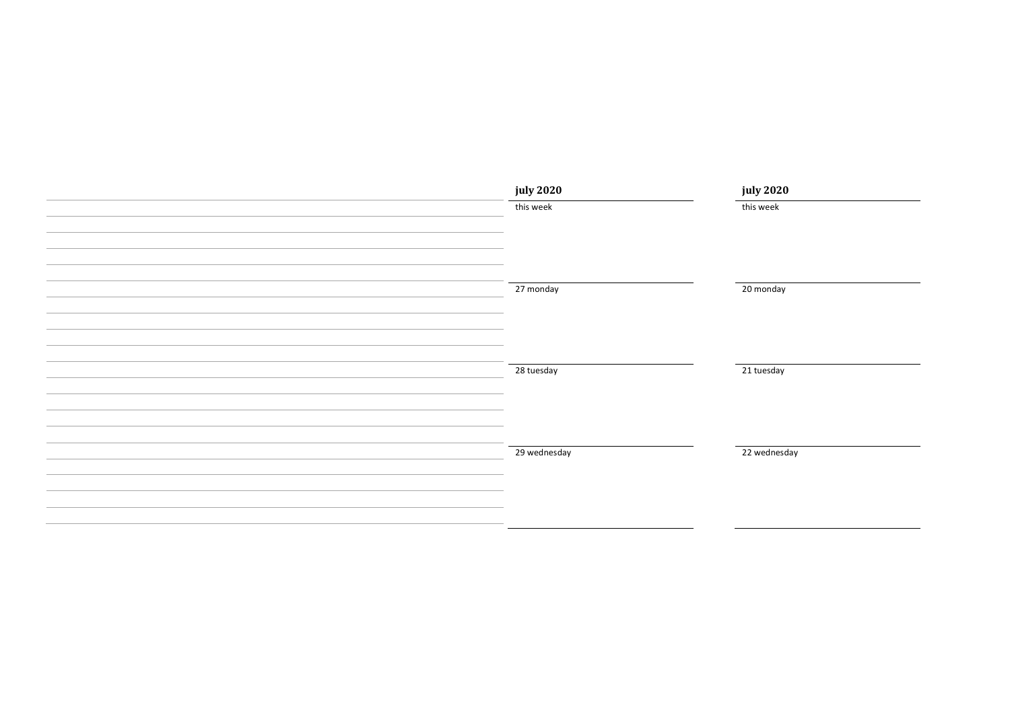| july 2020    | <b>july 2020</b> |
|--------------|------------------|
| this week    | this week        |
|              |                  |
|              |                  |
|              |                  |
| 27 monday    | 20 monday        |
|              |                  |
|              |                  |
|              |                  |
|              |                  |
| 28 tuesday   | 21 tuesday       |
|              |                  |
|              |                  |
|              |                  |
| 29 wednesday | 22 wednesday     |
|              |                  |
|              |                  |
|              |                  |
|              |                  |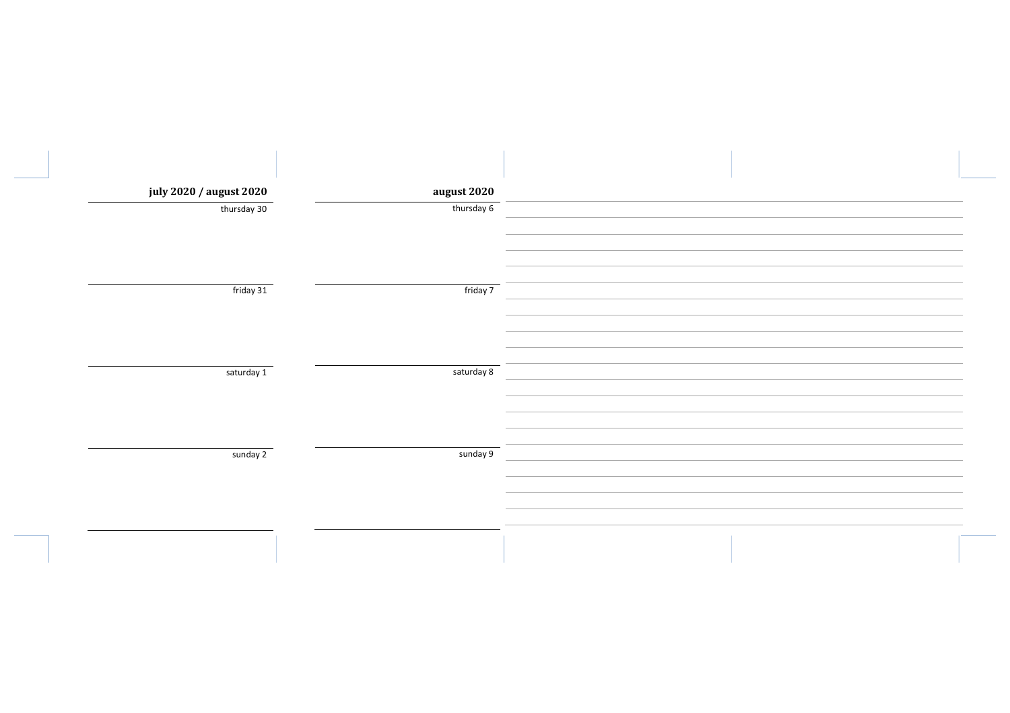| august 2020            | july 2020 / august 2020 |
|------------------------|-------------------------|
| thursday 6             | thursday 30             |
|                        |                         |
|                        |                         |
|                        |                         |
| friday 7               | friday 31               |
|                        |                         |
|                        |                         |
|                        |                         |
|                        |                         |
|                        |                         |
|                        |                         |
|                        |                         |
|                        |                         |
|                        |                         |
|                        |                         |
|                        |                         |
|                        |                         |
| saturday 8<br>sunday 9 | saturday 1<br>sunday 2  |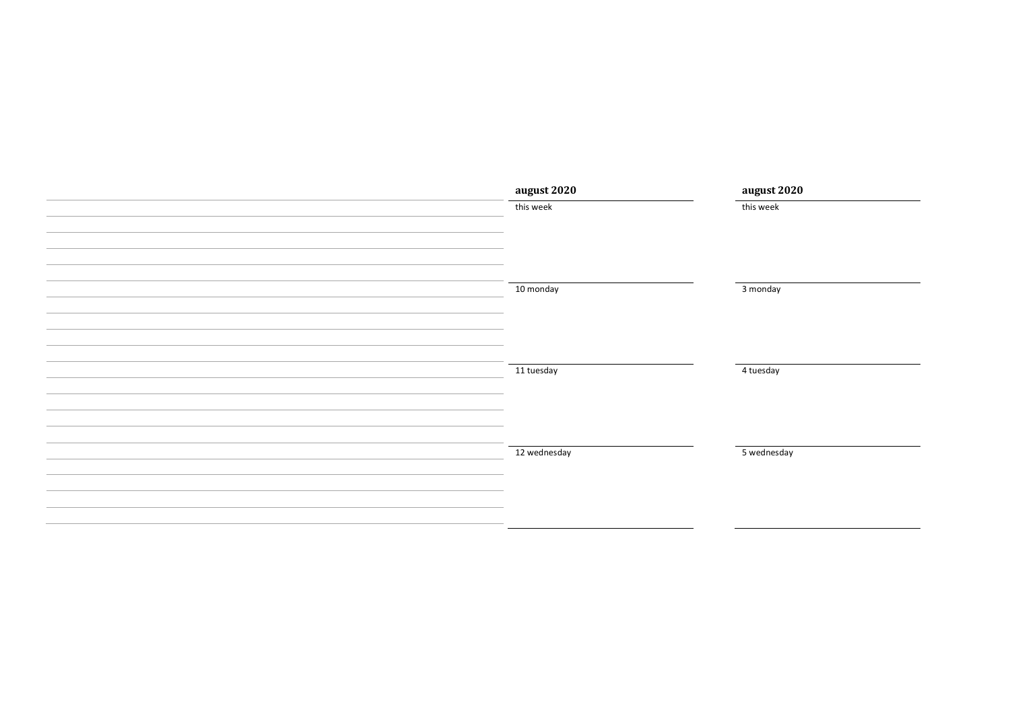| august 2020  | august 2020 |
|--------------|-------------|
| this week    | this week   |
|              |             |
|              |             |
|              |             |
|              |             |
| 10 monday    | 3 monday    |
|              |             |
|              |             |
|              |             |
|              |             |
| 11 tuesday   | 4 tuesday   |
|              |             |
|              |             |
|              |             |
|              |             |
| 12 wednesday | 5 wednesday |
|              |             |
|              |             |
|              |             |
|              |             |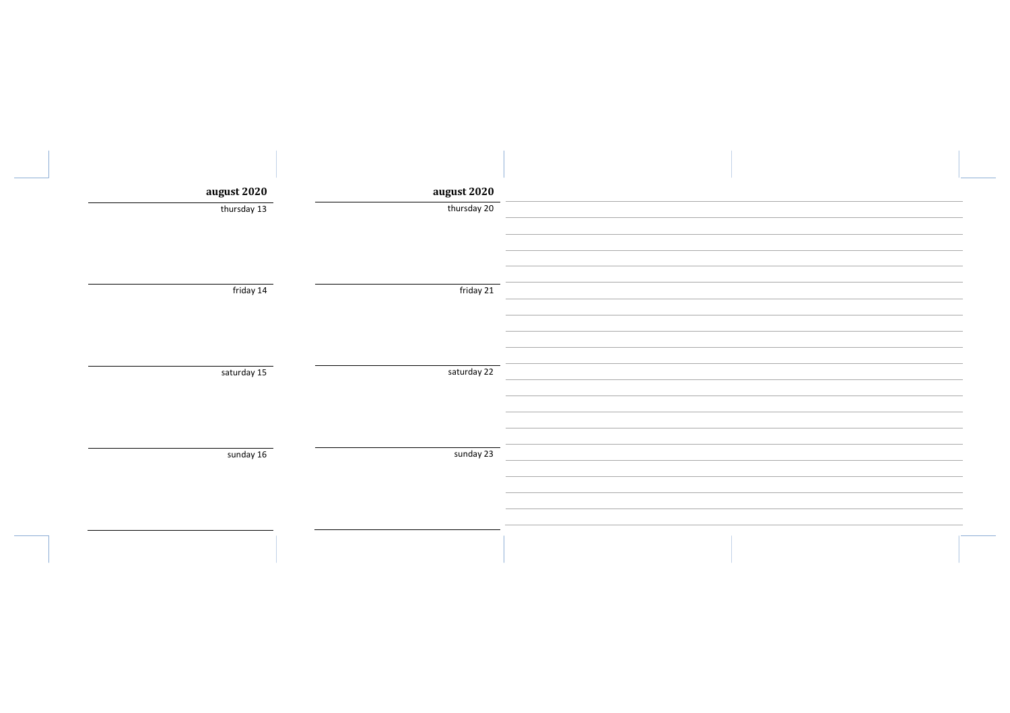| august 2020 | august 2020 |  |
|-------------|-------------|--|
| thursday 13 | thursday 20 |  |
|             |             |  |
| friday 14   | friday 21   |  |
| saturday 15 | saturday 22 |  |
|             |             |  |
| sunday 16   | sunday 23   |  |
|             |             |  |
|             |             |  |
|             |             |  |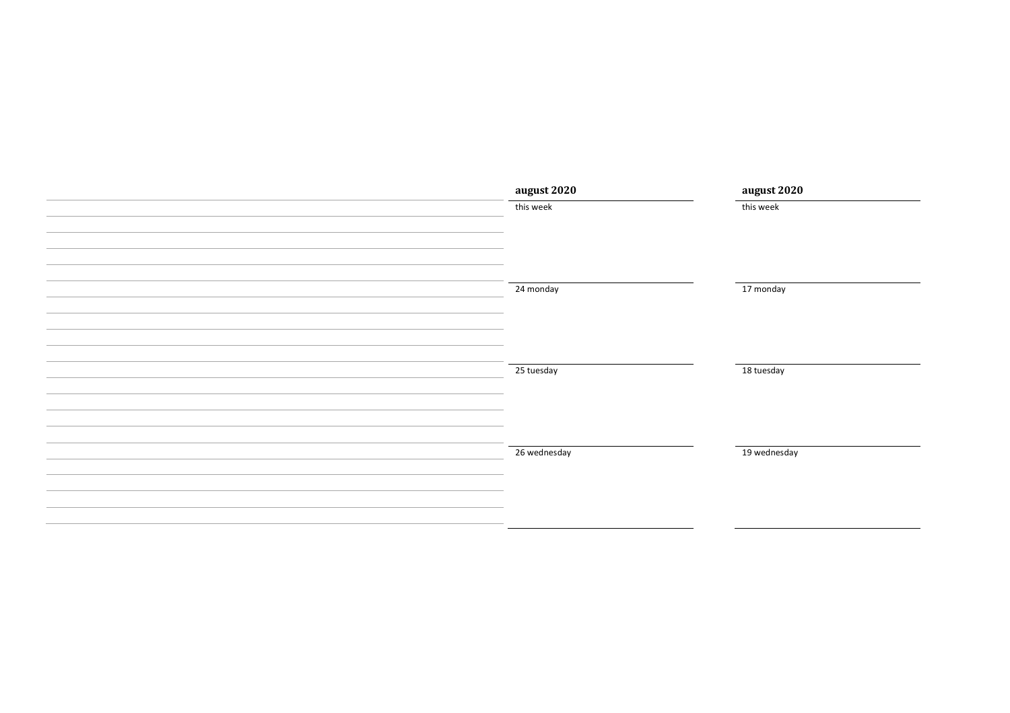| august 2020  | august 2020  |
|--------------|--------------|
| this week    | this week    |
|              |              |
|              |              |
|              |              |
|              |              |
| 24 monday    | 17 monday    |
|              |              |
|              |              |
|              |              |
|              |              |
| 25 tuesday   | 18 tuesday   |
|              |              |
|              |              |
|              |              |
|              |              |
| 26 wednesday | 19 wednesday |
|              |              |
|              |              |
|              |              |
|              |              |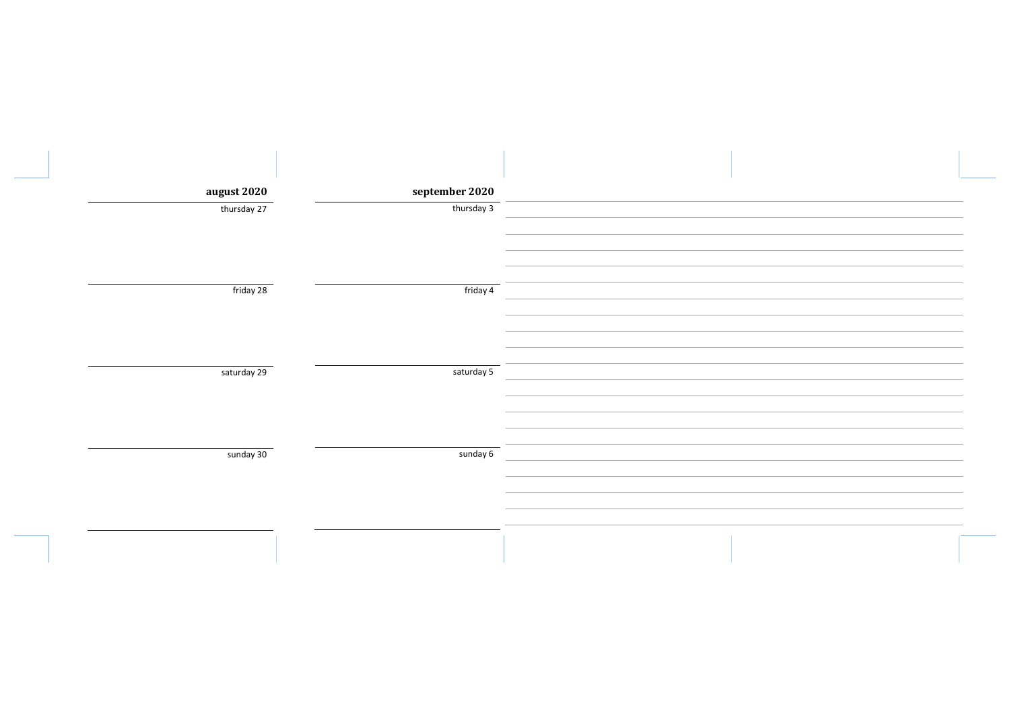| august 2020 | september 2020 |  |
|-------------|----------------|--|
| thursday 27 | thursday 3     |  |
|             |                |  |
|             |                |  |
| friday 28   | friday 4       |  |
|             |                |  |
|             |                |  |
|             |                |  |
| saturday 29 | saturday 5     |  |
|             |                |  |
|             |                |  |
|             |                |  |
| sunday 30   | sunday 6       |  |
|             |                |  |
|             |                |  |
|             |                |  |
|             |                |  |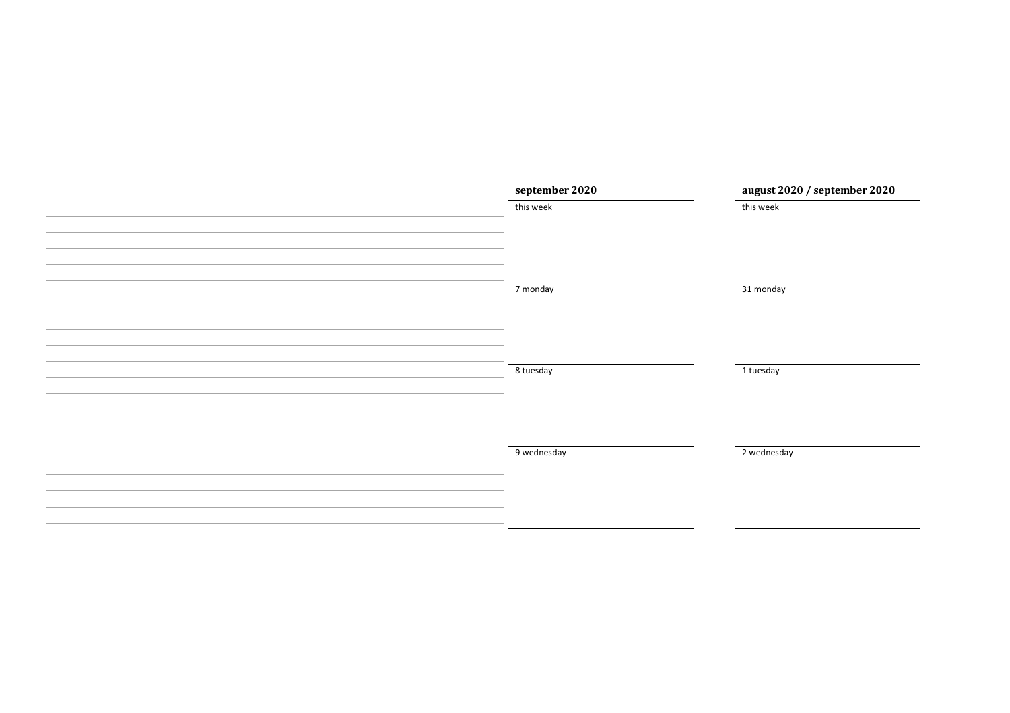| september 2020 | august 2020 / september 2020 |
|----------------|------------------------------|
| this week      | this week                    |
|                |                              |
|                |                              |
|                |                              |
| 7 monday       | 31 monday                    |
|                |                              |
|                |                              |
|                |                              |
| 8 tuesday      | 1 tuesday                    |
|                |                              |
|                |                              |
|                |                              |
| 9 wednesday    | 2 wednesday                  |
|                |                              |
|                |                              |
|                |                              |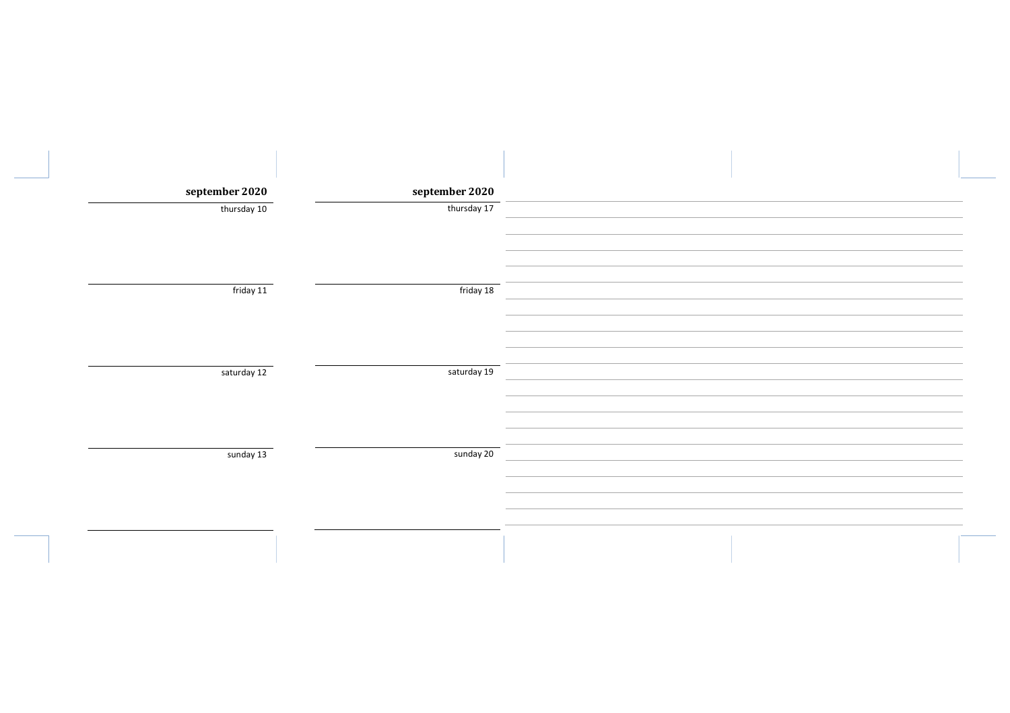| september 2020 | september 2020 |  |
|----------------|----------------|--|
| thursday 10    | thursday 17    |  |
|                |                |  |
|                |                |  |
|                |                |  |
| friday 11      | friday 18      |  |
|                |                |  |
|                |                |  |
|                |                |  |
| saturday 12    | saturday 19    |  |
|                |                |  |
|                |                |  |
|                |                |  |
| sunday 13      | sunday 20      |  |
|                |                |  |
|                |                |  |
|                |                |  |
|                |                |  |
|                |                |  |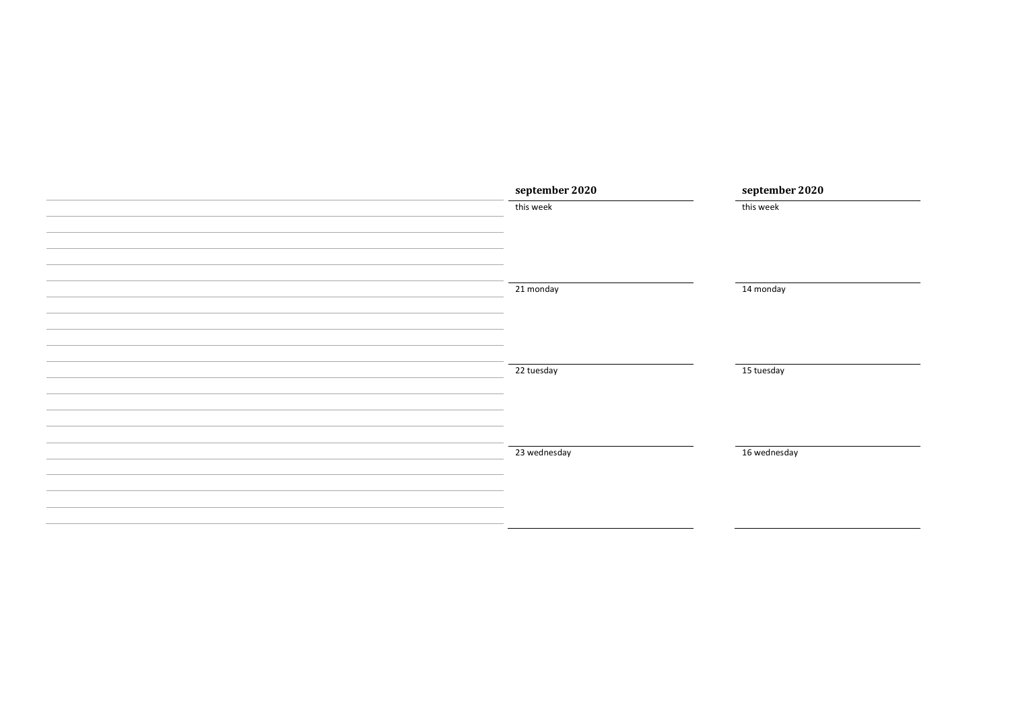| september 2020 | september 2020 |
|----------------|----------------|
| this week      | this week      |
|                |                |
|                |                |
|                |                |
|                |                |
| 21 monday      | 14 monday      |
|                |                |
|                |                |
|                |                |
| 22 tuesday     | 15 tuesday     |
|                |                |
|                |                |
|                |                |
|                |                |
| 23 wednesday   | 16 wednesday   |
|                |                |
|                |                |
|                |                |
|                |                |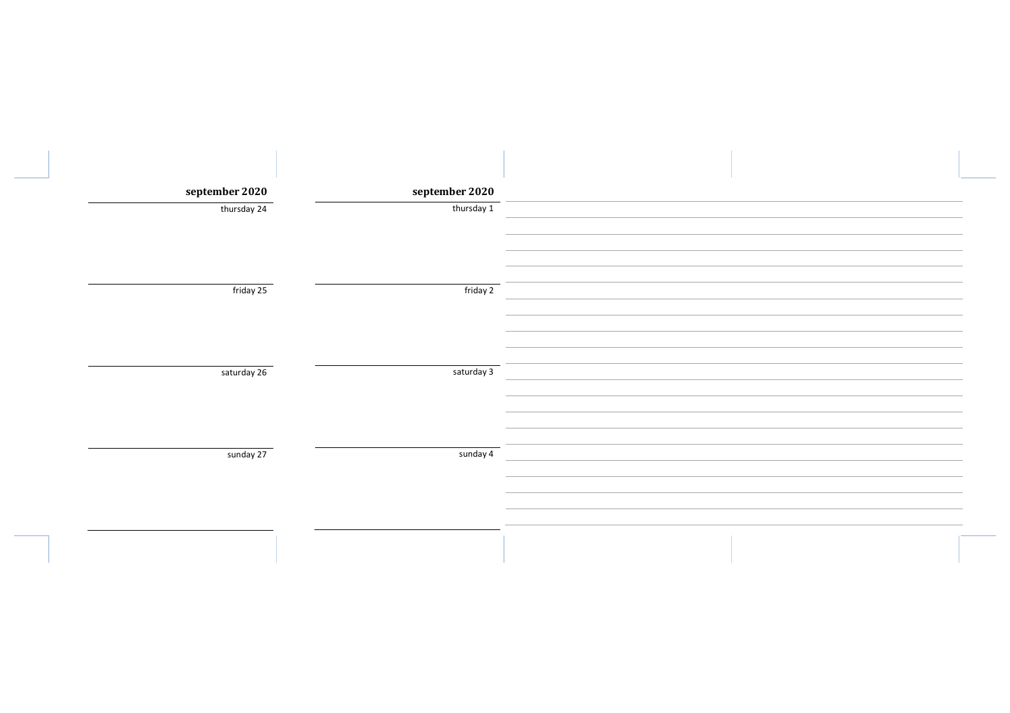| september 2020 | september 2020 |  |
|----------------|----------------|--|
| thursday 24    | thursday 1     |  |
|                |                |  |
|                |                |  |
|                |                |  |
| friday 25      | friday 2       |  |
|                |                |  |
|                |                |  |
|                |                |  |
| saturday 26    | saturday 3     |  |
|                |                |  |
|                |                |  |
|                |                |  |
| sunday 27      | sunday 4       |  |
|                |                |  |
|                |                |  |
|                |                |  |
|                |                |  |
|                |                |  |
|                |                |  |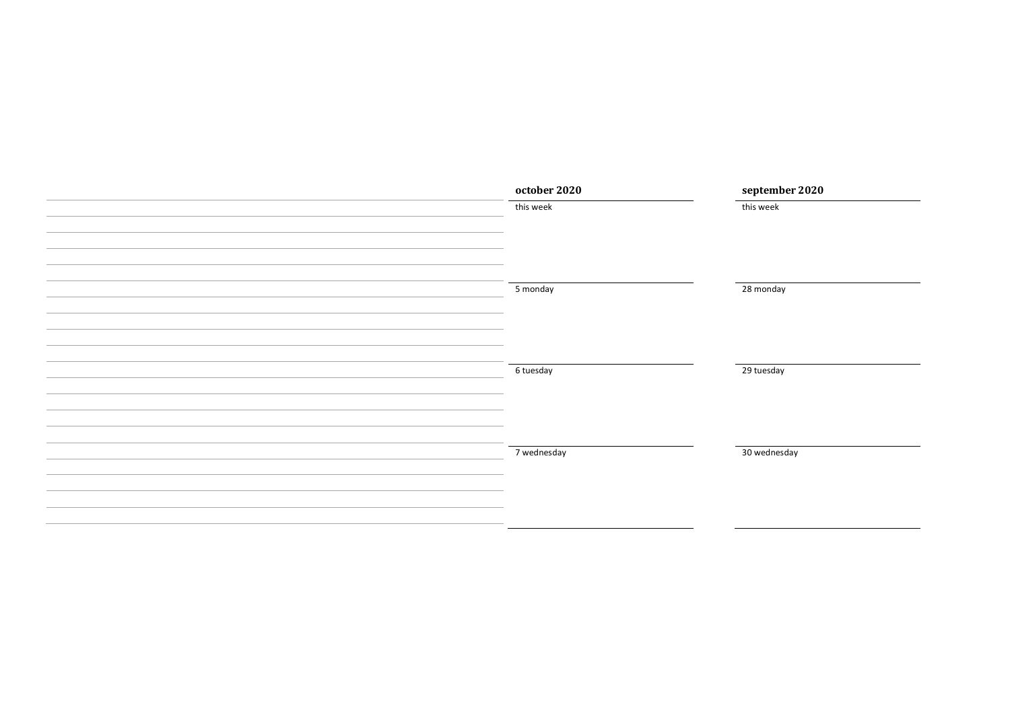| october 2020 | september 2020 |
|--------------|----------------|
| this week    | this week      |
|              |                |
|              |                |
|              |                |
|              |                |
| 5 monday     | 28 monday      |
|              |                |
|              |                |
|              |                |
|              |                |
| 6 tuesday    | 29 tuesday     |
|              |                |
|              |                |
|              |                |
| 7 wednesday  | 30 wednesday   |
|              |                |
|              |                |
|              |                |
|              |                |
|              |                |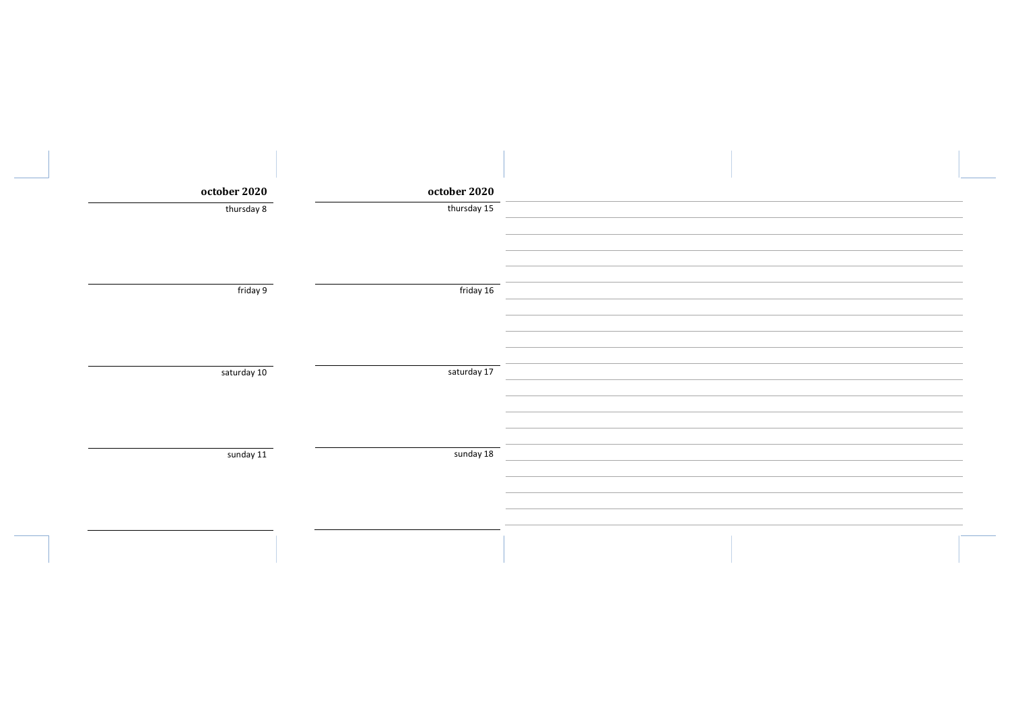| october 2020<br>october 2020<br>thursday 8<br>thursday 15 |  |
|-----------------------------------------------------------|--|
|                                                           |  |
|                                                           |  |
|                                                           |  |
|                                                           |  |
|                                                           |  |
|                                                           |  |
| friday 9<br>friday 16                                     |  |
|                                                           |  |
|                                                           |  |
|                                                           |  |
| saturday 17<br>saturday 10                                |  |
|                                                           |  |
|                                                           |  |
|                                                           |  |
| sunday 11<br>sunday 18                                    |  |
|                                                           |  |
|                                                           |  |
|                                                           |  |
|                                                           |  |
|                                                           |  |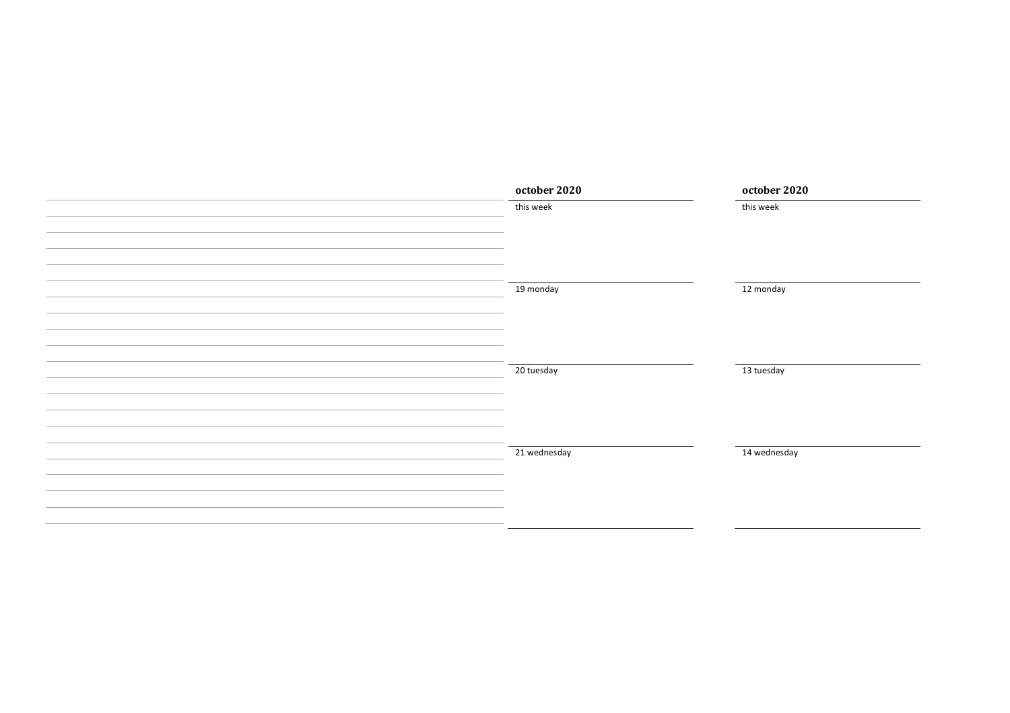| october 2020 | october 2020            |
|--------------|-------------------------|
| this week    | this week               |
|              |                         |
|              |                         |
|              |                         |
|              |                         |
|              | 12 monday               |
|              |                         |
|              |                         |
|              |                         |
|              |                         |
|              | 13 tuesday              |
|              |                         |
|              |                         |
|              |                         |
| 21 wednesday | 14 wednesday            |
|              |                         |
|              |                         |
|              |                         |
|              |                         |
|              | 19 monday<br>20 tuesday |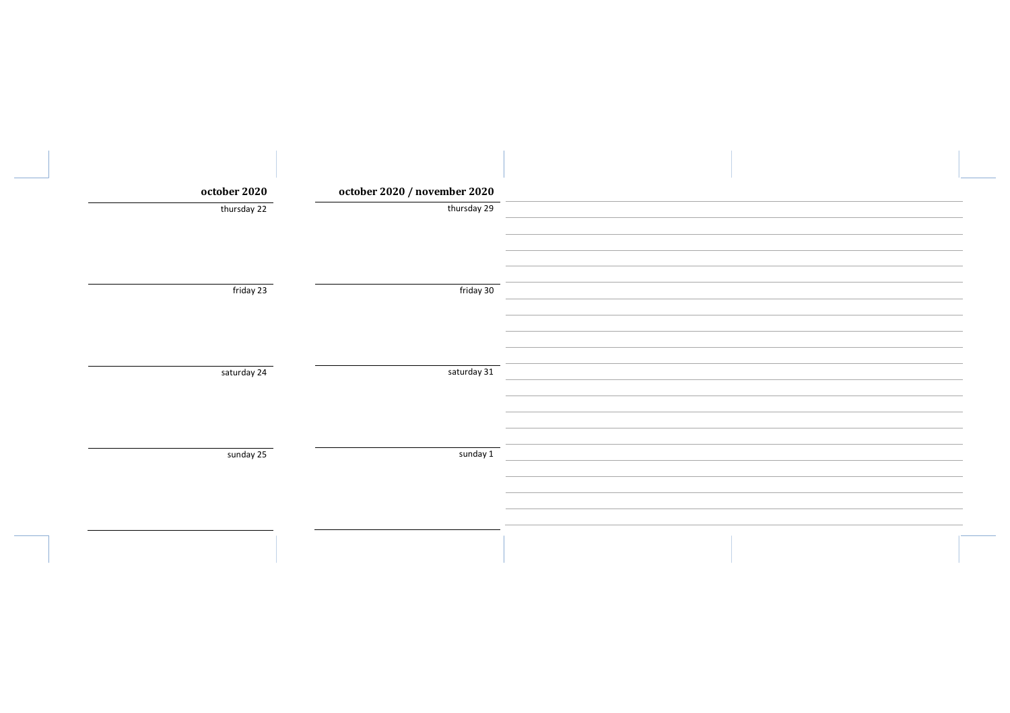| october 2020 | october 2020 / november 2020 |  |
|--------------|------------------------------|--|
| thursday 22  | thursday 29                  |  |
| friday 23    | friday 30                    |  |
|              |                              |  |
| saturday 24  | saturday 31                  |  |
|              |                              |  |
|              |                              |  |
| sunday 25    | sunday 1                     |  |
|              |                              |  |
|              |                              |  |
|              |                              |  |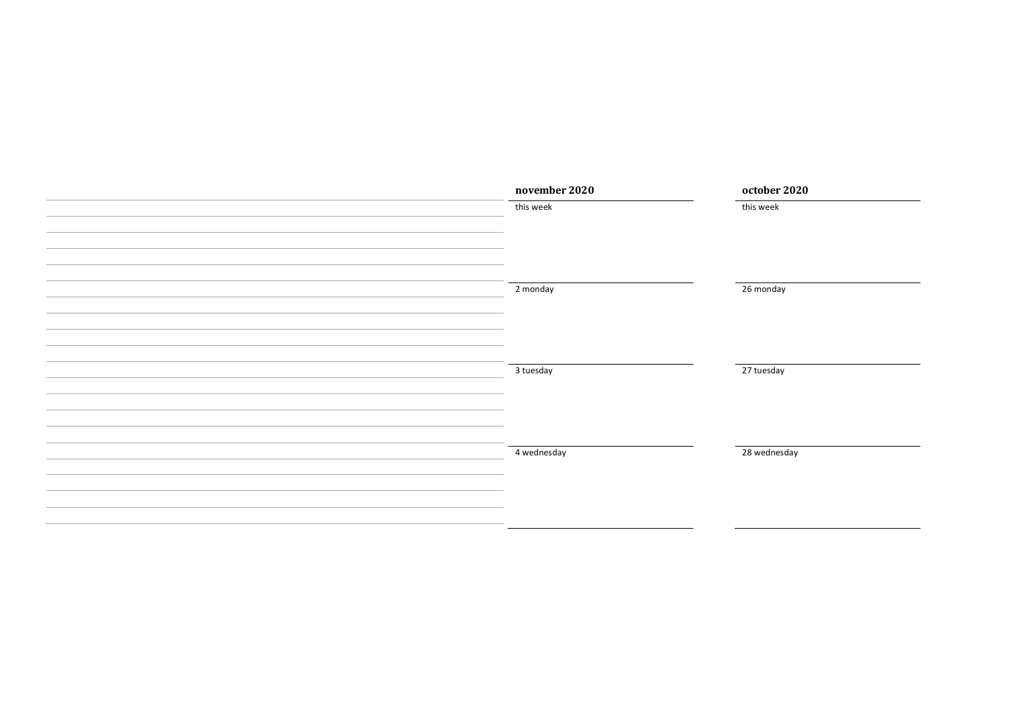| november 2020 | october 2020 |
|---------------|--------------|
| this week     | this week    |
|               |              |
|               |              |
|               |              |
|               |              |
| 2 monday      | 26 monday    |
|               |              |
|               |              |
|               |              |
|               |              |
| 3 tuesday     | 27 tuesday   |
|               |              |
|               |              |
|               |              |
| 4 wednesday   | 28 wednesday |
|               |              |
|               |              |
|               |              |
|               |              |
|               |              |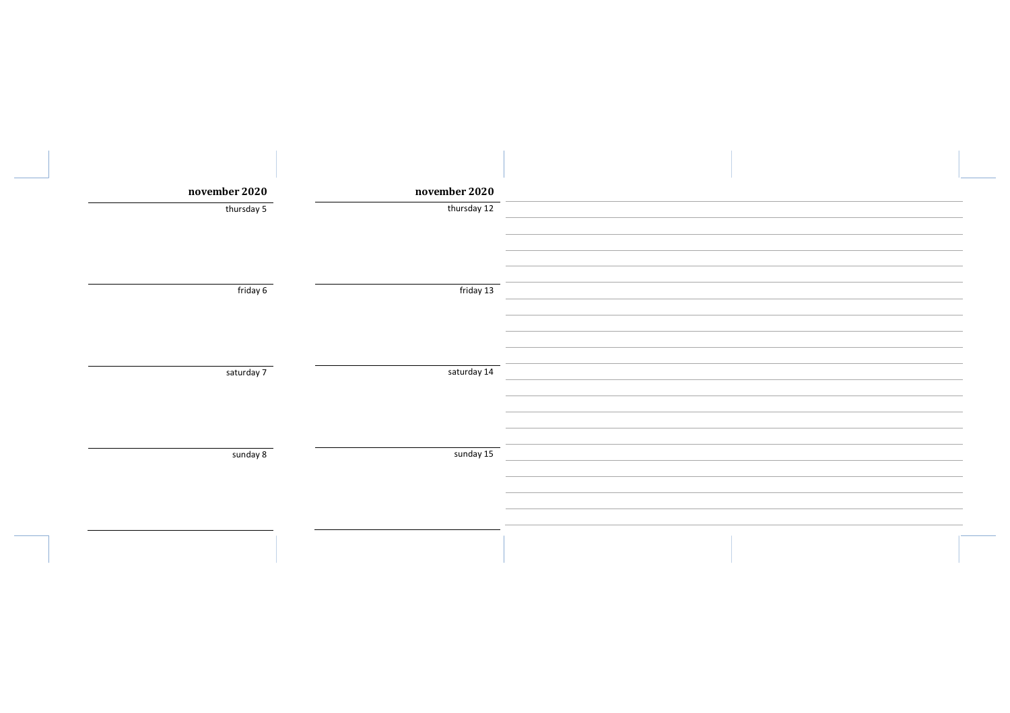| november 2020 | november 2020 |  |
|---------------|---------------|--|
| thursday 5    | thursday 12   |  |
|               |               |  |
|               |               |  |
|               |               |  |
| friday 6      | friday 13     |  |
|               |               |  |
|               |               |  |
| saturday 7    | saturday 14   |  |
|               |               |  |
|               |               |  |
|               |               |  |
| sunday 8      | sunday 15     |  |
|               |               |  |
|               |               |  |
|               |               |  |
|               |               |  |
|               |               |  |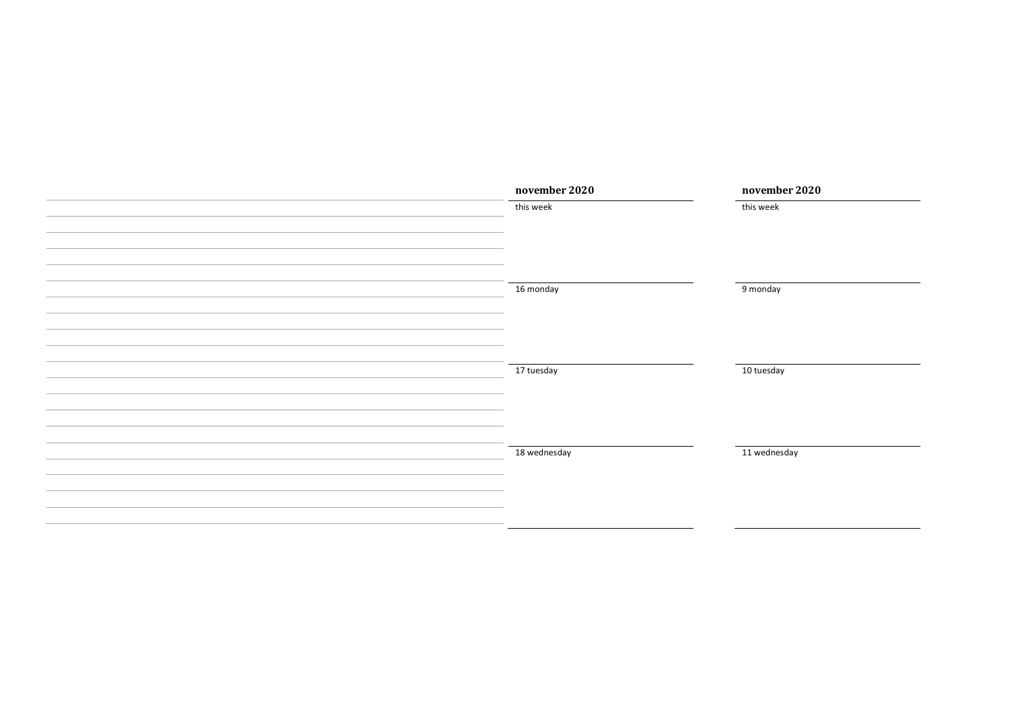| november 2020 | november 2020 |
|---------------|---------------|
| this week     | this week     |
|               |               |
|               |               |
|               |               |
|               |               |
| 16 monday     | 9 monday      |
|               |               |
|               |               |
|               |               |
|               |               |
| 17 tuesday    | 10 tuesday    |
|               |               |
|               |               |
|               |               |
| 18 wednesday  | 11 wednesday  |
|               |               |
|               |               |
|               |               |
|               |               |
|               |               |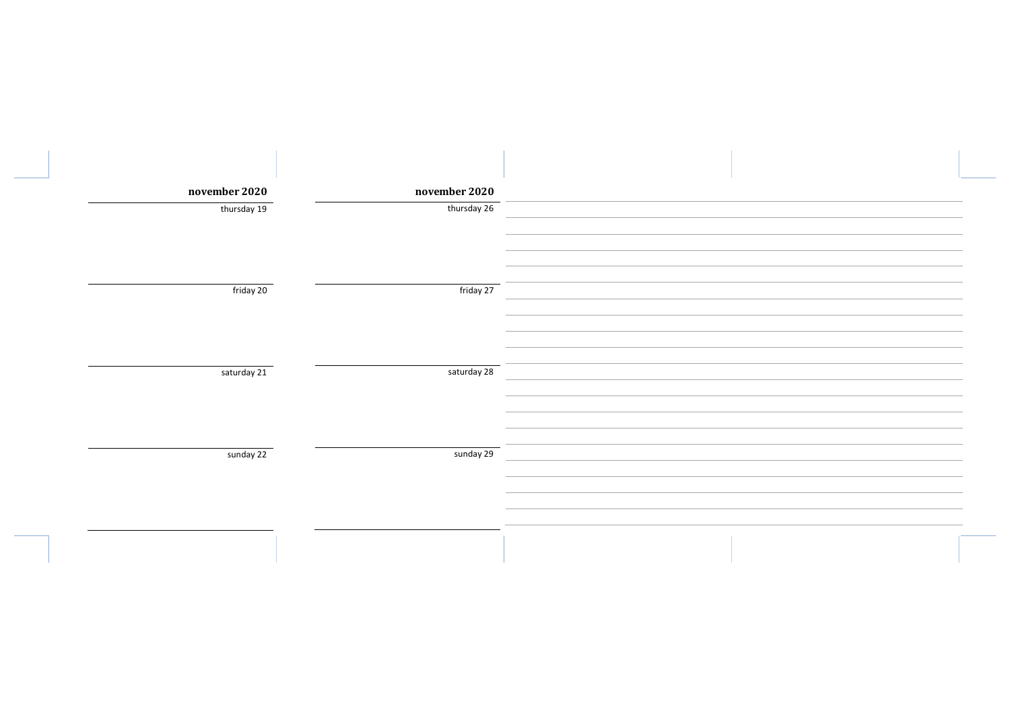| november 2020 | november 2020 |             |
|---------------|---------------|-------------|
| thursday 19   |               | thursday 26 |
|               |               |             |
|               |               |             |
|               |               | friday 27   |
| friday 20     |               |             |
|               |               |             |
|               |               |             |
| saturday 21   |               | saturday 28 |
|               |               |             |
|               |               |             |
|               |               |             |
| sunday 22     |               | sunday 29   |
|               |               |             |
|               |               |             |
|               |               |             |
|               |               |             |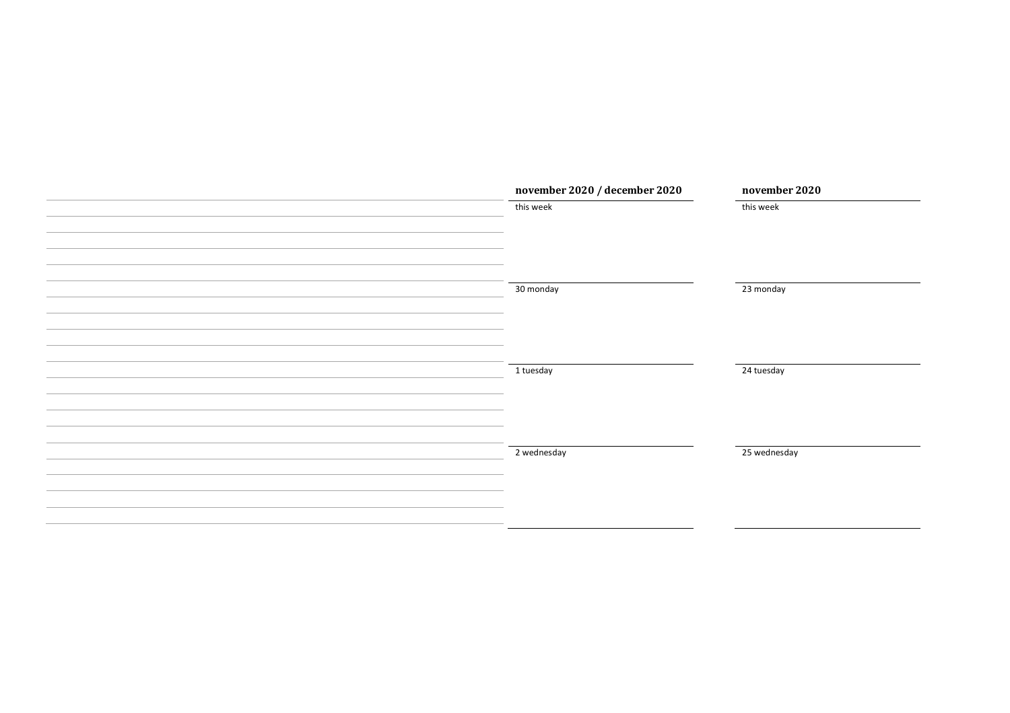| november 2020 / december 2020 | november 2020 |
|-------------------------------|---------------|
| this week                     | this week     |
|                               |               |
|                               |               |
|                               |               |
|                               |               |
| 30 monday                     | 23 monday     |
|                               |               |
|                               |               |
|                               |               |
| 1 tuesday                     | 24 tuesday    |
|                               |               |
|                               |               |
|                               |               |
|                               |               |
| 2 wednesday                   | 25 wednesday  |
|                               |               |
|                               |               |
|                               |               |
|                               |               |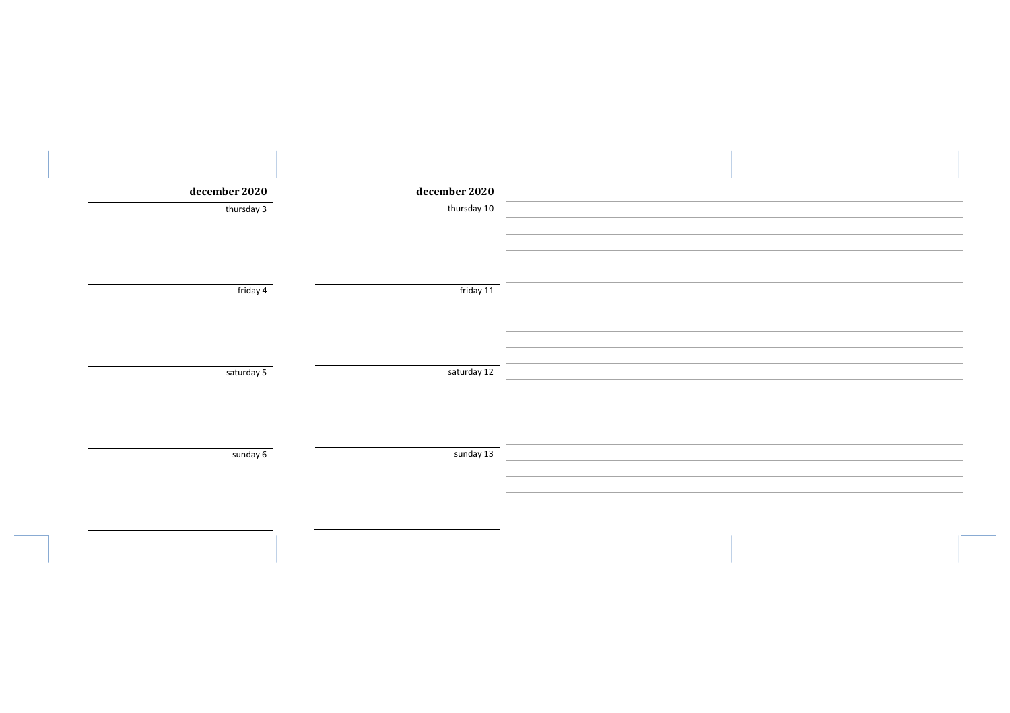| december 2020 | december 2020 |  |
|---------------|---------------|--|
| thursday 3    | thursday 10   |  |
|               |               |  |
|               |               |  |
| friday 4      | friday 11     |  |
|               |               |  |
|               |               |  |
| saturday 5    | saturday 12   |  |
|               |               |  |
|               |               |  |
| sunday 6      | sunday 13     |  |
|               |               |  |
|               |               |  |
|               |               |  |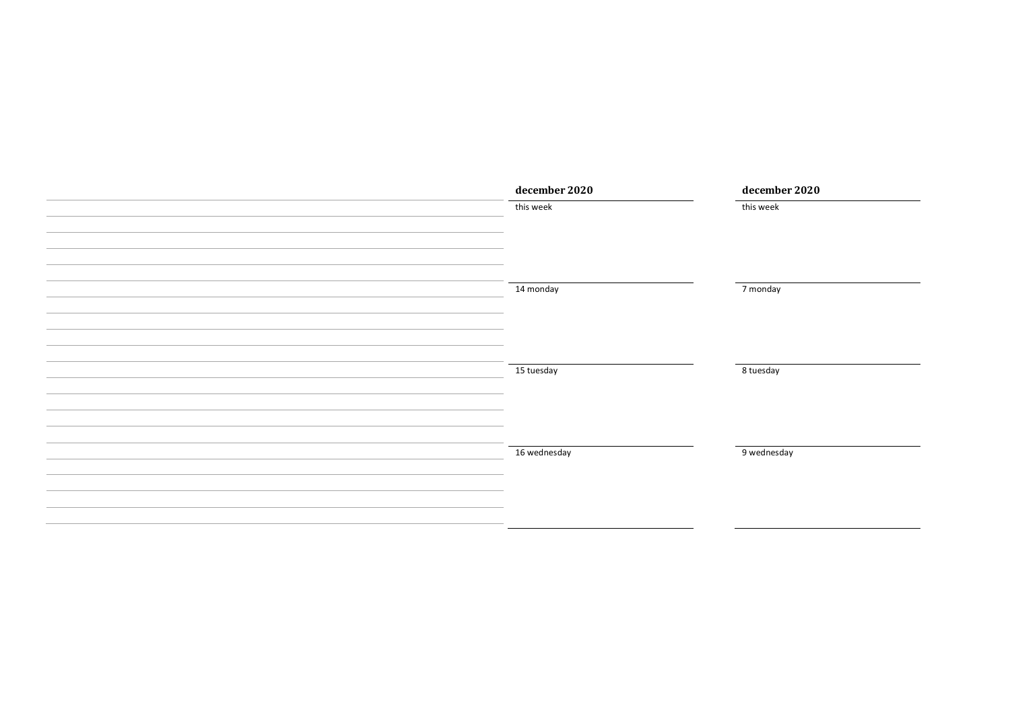| december 2020 | december 2020 |
|---------------|---------------|
| this week     | this week     |
|               |               |
|               |               |
|               |               |
|               |               |
| 14 monday     | 7 monday      |
|               |               |
|               |               |
|               |               |
|               |               |
| 15 tuesday    | 8 tuesday     |
|               |               |
|               |               |
|               |               |
|               |               |
| 16 wednesday  | 9 wednesday   |
|               |               |
|               |               |
|               |               |
|               |               |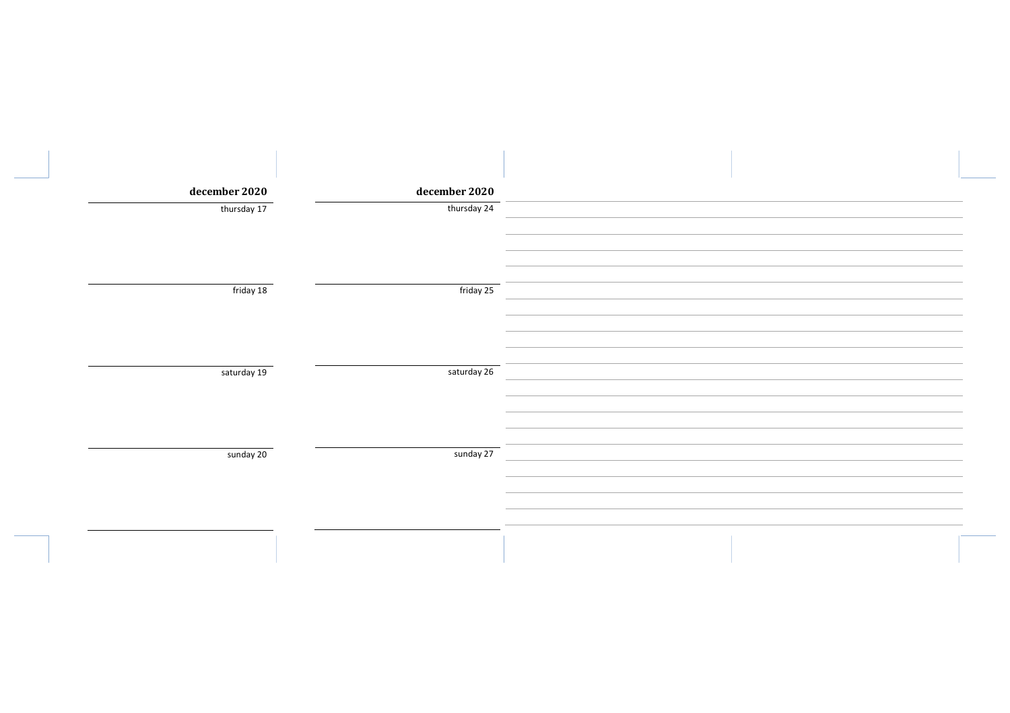| december 2020 | december 2020 |  |
|---------------|---------------|--|
| thursday 17   | thursday 24   |  |
|               |               |  |
|               |               |  |
|               |               |  |
|               |               |  |
| friday 18     | friday 25     |  |
|               |               |  |
|               |               |  |
|               |               |  |
|               |               |  |
| saturday 19   | saturday 26   |  |
|               |               |  |
|               |               |  |
|               |               |  |
|               |               |  |
|               |               |  |
| sunday 20     | sunday 27     |  |
|               |               |  |
|               |               |  |
|               |               |  |
|               |               |  |
|               |               |  |
|               |               |  |
|               |               |  |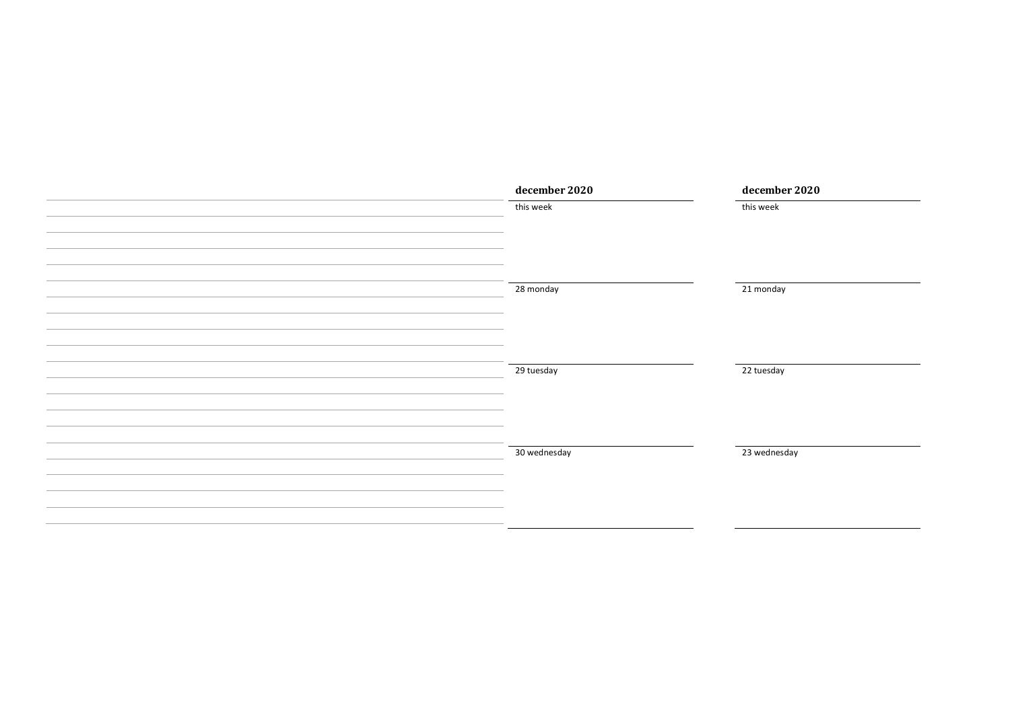| december 2020 | december 2020 |
|---------------|---------------|
| this week     | this week     |
|               |               |
|               |               |
|               |               |
|               |               |
| 28 monday     | 21 monday     |
|               |               |
|               |               |
|               |               |
| 29 tuesday    | 22 tuesday    |
|               |               |
|               |               |
|               |               |
|               |               |
| 30 wednesday  | 23 wednesday  |
|               |               |
|               |               |
|               |               |
|               |               |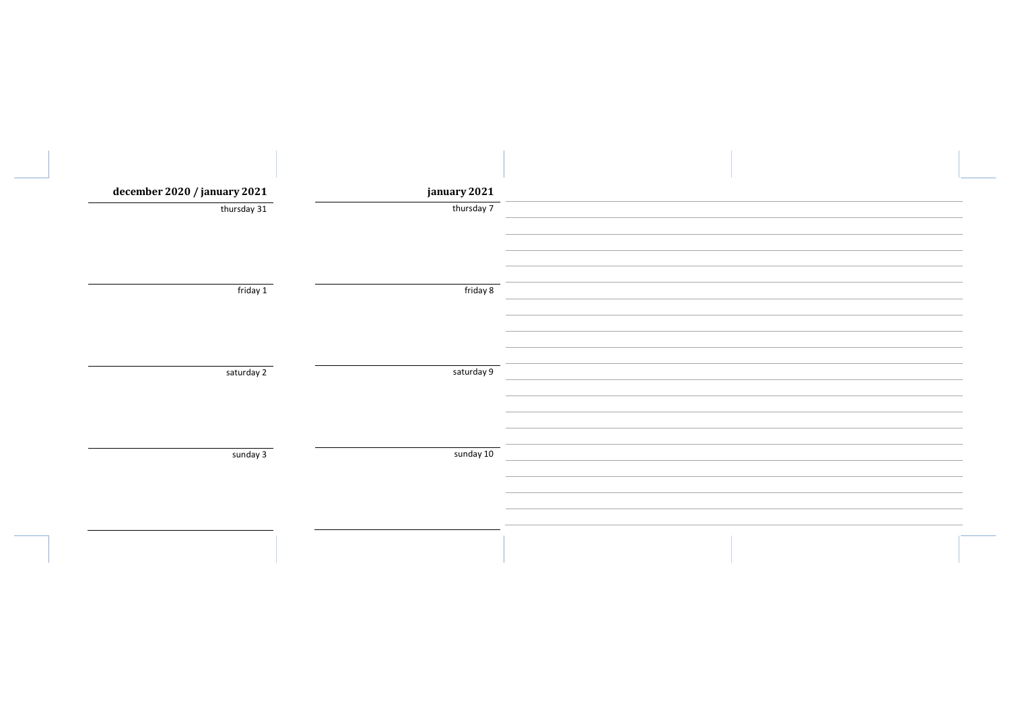| december 2020 / january 2021 | january 2021 |  |
|------------------------------|--------------|--|
| thursday 31                  | thursday 7   |  |
|                              |              |  |
|                              |              |  |
|                              |              |  |
| friday 1                     | friday 8     |  |
|                              |              |  |
|                              |              |  |
|                              |              |  |
| saturday 2                   | saturday 9   |  |
|                              |              |  |
|                              |              |  |
|                              |              |  |
|                              |              |  |
| sunday 3                     | sunday 10    |  |
|                              |              |  |
|                              |              |  |
|                              |              |  |
|                              |              |  |